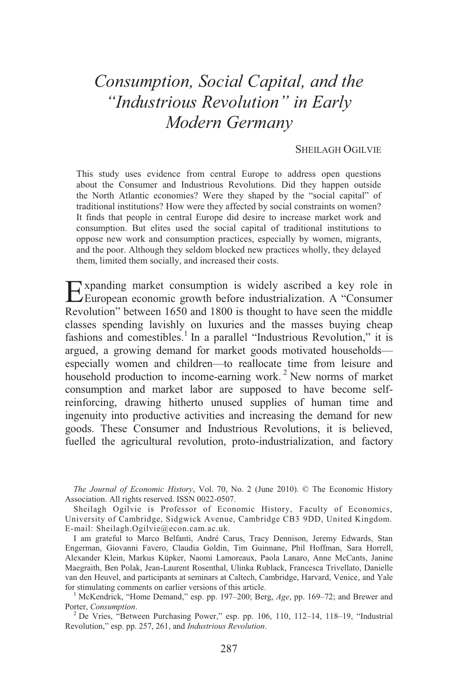# *Consumption, Social Capital, and the "Industrious Revolution" in Early Modern Germany*

#### SHEILAGH OGILVIE

This study uses evidence from central Europe to address open questions about the Consumer and Industrious Revolutions. Did they happen outside the North Atlantic economies? Were they shaped by the "social capital" of traditional institutions? How were they affected by social constraints on women? It finds that people in central Europe did desire to increase market work and consumption. But elites used the social capital of traditional institutions to oppose new work and consumption practices, especially by women, migrants, and the poor. Although they seldom blocked new practices wholly, they delayed them, limited them socially, and increased their costs.

Expanding market consumption is widely ascribed a key role in<br>European economic growth before industrialization. A "Consumer European economic growth before industrialization. A "Consumer Revolution" between 1650 and 1800 is thought to have seen the middle classes spending lavishly on luxuries and the masses buying cheap fashions and comestibles.<sup>1</sup> In a parallel "Industrious Revolution," it is argued, a growing demand for market goods motivated households especially women and children—to reallocate time from leisure and household production to income-earning work.<sup>2</sup> New norms of market consumption and market labor are supposed to have become selfreinforcing, drawing hitherto unused supplies of human time and ingenuity into productive activities and increasing the demand for new goods. These Consumer and Industrious Revolutions, it is believed, fuelled the agricultural revolution, proto-industrialization, and factory

*The Journal of Economic History*, Vol. 70, No. 2 (June 2010). © The Economic History Association. All rights reserved. ISSN 0022-0507.

Sheilagh Ogilvie is Professor of Economic History, Faculty of Economics, University of Cambridge, Sidgwick Avenue, Cambridge CB3 9DD, United Kingdom. E-mail: Sheilagh.Ogilvie@econ.cam.ac.uk.

I am grateful to Marco Belfanti, André Carus, Tracy Dennison, Jeremy Edwards, Stan Engerman, Giovanni Favero, Claudia Goldin, Tim Guinnane, Phil Hoffman, Sara Horrell, Alexander Klein, Markus Küpker, Naomi Lamoreaux, Paola Lanaro, Anne McCants, Janine Maegraith, Ben Polak, Jean-Laurent Rosenthal, Ulinka Rublack, Francesca Trivellato, Danielle van den Heuvel, and participants at seminars at Caltech, Cambridge, Harvard, Venice, and Yale

<sup>1</sup> McKendrick, "Home Demand," esp. pp. 197–200; Berg, *Age*, pp. 169–72; and Brewer and Porter, *Consumption*.

<sup>2</sup> De Vries, "Between Purchasing Power," esp. pp. 106, 110, 112–14, 118–19, "Industrial Revolution," esp. pp. 257, 261, and *Industrious Revolution*.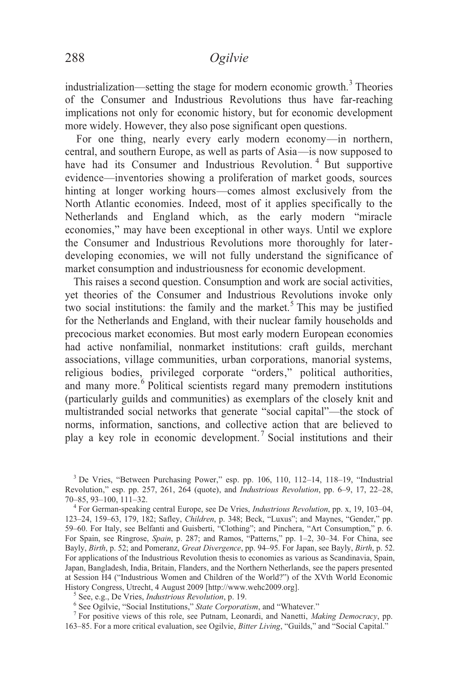industrialization—setting the stage for modern economic growth.<sup>3</sup> Theories of the Consumer and Industrious Revolutions thus have far-reaching implications not only for economic history, but for economic development more widely. However, they also pose significant open questions.

 For one thing, nearly every early modern economy—in northern, central, and southern Europe, as well as parts of Asia—is now supposed to have had its Consumer and Industrious Revolution.<sup>4</sup> But supportive evidence—inventories showing a proliferation of market goods, sources hinting at longer working hours—comes almost exclusively from the North Atlantic economies. Indeed, most of it applies specifically to the Netherlands and England which, as the early modern "miracle economies," may have been exceptional in other ways. Until we explore the Consumer and Industrious Revolutions more thoroughly for laterdeveloping economies, we will not fully understand the significance of market consumption and industriousness for economic development.

 This raises a second question. Consumption and work are social activities, yet theories of the Consumer and Industrious Revolutions invoke only two social institutions: the family and the market.<sup>5</sup> This may be justified for the Netherlands and England, with their nuclear family households and precocious market economies. But most early modern European economies had active nonfamilial, nonmarket institutions: craft guilds, merchant associations, village communities, urban corporations, manorial systems, religious bodies, privileged corporate "orders," political authorities, and many more.<sup>6</sup> Political scientists regard many premodern institutions (particularly guilds and communities) as exemplars of the closely knit and multistranded social networks that generate "social capital"—the stock of norms, information, sanctions, and collective action that are believed to play a key role in economic development.<sup>7</sup> Social institutions and their

<sup>3</sup> De Vries, "Between Purchasing Power," esp. pp. 106, 110, 112–14, 118–19, "Industrial Revolution," esp. pp. 257, 261, 264 (quote), and *Industrious Revolution*, pp. 6–9, 17, 22–28,

<sup>4</sup> For German-speaking central Europe, see De Vries, *Industrious Revolution*, pp. x, 19, 103–04, 123–24, 159–63, 179, 182; Safley, *Children*, p. 348; Beck, "Luxus"; and Maynes, "Gender," pp. 59–60. For Italy, see Belfanti and Guisberti, "Clothing"; and Pinchera, "Art Consumption," p. 6. For Spain, see Ringrose, *Spain*, p. 287; and Ramos, "Patterns," pp. 1–2, 30–34. For China, see Bayly, *Birth*, p. 52; and Pomeranz, *Great Divergence*, pp. 94–95. For Japan, see Bayly, *Birth*, p. 52. For applications of the Industrious Revolution thesis to economies as various as Scandinavia, Spain, Japan, Bangladesh, India, Britain, Flanders, and the Northern Netherlands, see the papers presented at Session H4 ("Industrious Women and Children of the World?") of the XVth World Economic History Congress, Utrecht, 4 August 2009 [http://www.wehc2009.org].<br><sup>5</sup> See, e.g., De Vries, *Industrious Revolution*, p. 19.

<sup>6</sup> See Ogilvie, "Social Institutions," *State Corporatism*, and "Whatever."<br><sup>7</sup> For positive views of this role, see Putnam, Leonardi, and Nanetti, *Making Democracy*, pp. 163–85. For a more critical evaluation, see Ogilvie, *Bitter Living*, "Guilds," and "Social Capital."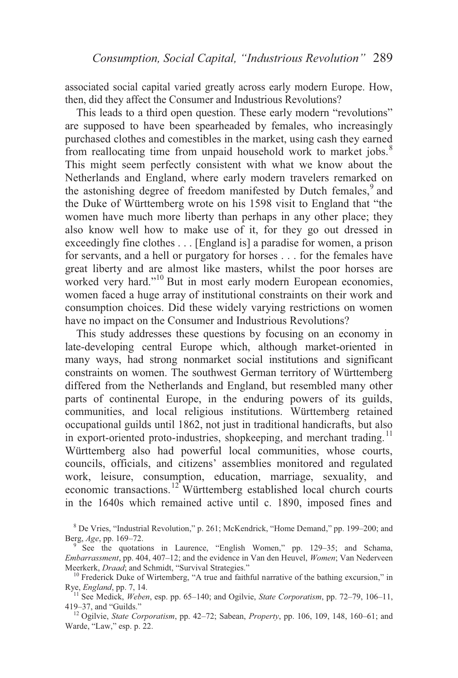associated social capital varied greatly across early modern Europe. How, then, did they affect the Consumer and Industrious Revolutions?

This leads to a third open question. These early modern "revolutions" are supposed to have been spearheaded by females, who increasingly purchased clothes and comestibles in the market, using cash they earned from reallocating time from unpaid household work to market jobs.<sup>8</sup> This might seem perfectly consistent with what we know about the Netherlands and England, where early modern travelers remarked on the astonishing degree of freedom manifested by Dutch females,<sup>9</sup> and the Duke of Württemberg wrote on his 1598 visit to England that "the women have much more liberty than perhaps in any other place; they also know well how to make use of it, for they go out dressed in exceedingly fine clothes . . . [England is] a paradise for women, a prison for servants, and a hell or purgatory for horses . . . for the females have great liberty and are almost like masters, whilst the poor horses are worked very hard."<sup>10</sup> But in most early modern European economies, women faced a huge array of institutional constraints on their work and consumption choices. Did these widely varying restrictions on women have no impact on the Consumer and Industrious Revolutions?

This study addresses these questions by focusing on an economy in late-developing central Europe which, although market-oriented in many ways, had strong nonmarket social institutions and significant constraints on women. The southwest German territory of Württemberg differed from the Netherlands and England, but resembled many other parts of continental Europe, in the enduring powers of its guilds, communities, and local religious institutions. Württemberg retained occupational guilds until 1862, not just in traditional handicrafts, but also in export-oriented proto-industries, shopkeeping, and merchant trading.<sup>11</sup> Württemberg also had powerful local communities, whose courts, councils, officials, and citizens' assemblies monitored and regulated work, leisure, consumption, education, marriage, sexuality, and economic transactions.12 Württemberg established local church courts in the 1640s which remained active until c. 1890, imposed fines and

<sup>&</sup>lt;sup>8</sup> De Vries, "Industrial Revolution," p. 261; McKendrick, "Home Demand," pp. 199–200; and Berg, *Age*, pp. 169–72.

<sup>&</sup>lt;sup>9</sup> See the quotations in Laurence, "English Women," pp. 129–35; and Schama, *Embarrassment*, pp. 404, 407–12; and the evidence in Van den Heuvel, *Women*; Van Nederveen

Meerkerk, *Draad*; and Schmidt, "Survival Strategies."<br><sup>10</sup> Frederick Duke of Wirtemberg, "A true and faithful narrative of the bathing excursion," in<br>Rye, *England*, pp. 7, 14.

<sup>&</sup>lt;sup>11</sup> See Medick, *Weben*, esp. pp. 65–140; and Ogilvie, *State Corporatism*, pp. 72–79, 106–11, 419–37, and "Guilds."

<sup>&</sup>lt;sup>12</sup> Ogilvie, *State Corporatism*, pp. 42–72; Sabean, *Property*, pp. 106, 109, 148, 160–61; and Warde, "Law," esp. p. 22.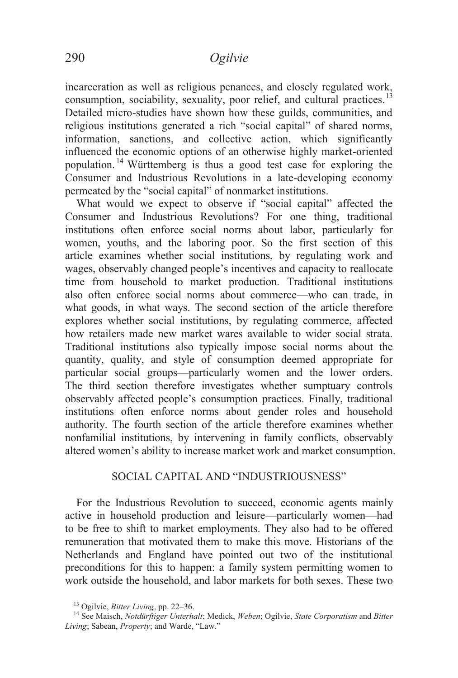# 290 *Ogilvie*

incarceration as well as religious penances, and closely regulated work, consumption, sociability, sexuality, poor relief, and cultural practices.<sup>13</sup> Detailed micro-studies have shown how these guilds, communities, and religious institutions generated a rich "social capital" of shared norms, information, sanctions, and collective action, which significantly influenced the economic options of an otherwise highly market-oriented population. 14 Württemberg is thus a good test case for exploring the Consumer and Industrious Revolutions in a late-developing economy permeated by the "social capital" of nonmarket institutions.

What would we expect to observe if "social capital" affected the Consumer and Industrious Revolutions? For one thing, traditional institutions often enforce social norms about labor, particularly for women, youths, and the laboring poor. So the first section of this article examines whether social institutions, by regulating work and wages, observably changed people's incentives and capacity to reallocate time from household to market production. Traditional institutions also often enforce social norms about commerce—who can trade, in what goods, in what ways. The second section of the article therefore explores whether social institutions, by regulating commerce, affected how retailers made new market wares available to wider social strata. Traditional institutions also typically impose social norms about the quantity, quality, and style of consumption deemed appropriate for particular social groups—particularly women and the lower orders. The third section therefore investigates whether sumptuary controls observably affected people's consumption practices. Finally, traditional institutions often enforce norms about gender roles and household authority. The fourth section of the article therefore examines whether nonfamilial institutions, by intervening in family conflicts, observably altered women's ability to increase market work and market consumption.

#### SOCIAL CAPITAL AND "INDUSTRIOUSNESS"

 For the Industrious Revolution to succeed, economic agents mainly active in household production and leisure—particularly women—had to be free to shift to market employments. They also had to be offered remuneration that motivated them to make this move. Historians of the Netherlands and England have pointed out two of the institutional preconditions for this to happen: a family system permitting women to work outside the household, and labor markets for both sexes. These two

<sup>&</sup>lt;sup>13</sup> Ogilvie, *Bitter Living*, pp. 22–36.<br><sup>14</sup> See Maisch, *Notdürftiger Unterhalt*; Medick, *Weben*; Ogilvie, *State Corporatism* and *Bitter Living*; Sabean, *Property*; and Warde, "Law."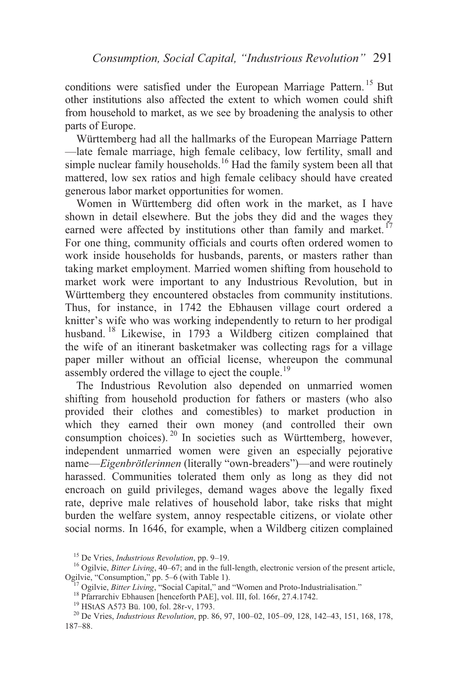conditions were satisfied under the European Marriage Pattern.<sup>15</sup> But other institutions also affected the extent to which women could shift from household to market, as we see by broadening the analysis to other parts of Europe.

 Württemberg had all the hallmarks of the European Marriage Pattern —late female marriage, high female celibacy, low fertility, small and simple nuclear family households.<sup>16</sup> Had the family system been all that mattered, low sex ratios and high female celibacy should have created generous labor market opportunities for women.

 Women in Württemberg did often work in the market, as I have shown in detail elsewhere. But the jobs they did and the wages they earned were affected by institutions other than family and market.  $17$ For one thing, community officials and courts often ordered women to work inside households for husbands, parents, or masters rather than taking market employment. Married women shifting from household to market work were important to any Industrious Revolution, but in Württemberg they encountered obstacles from community institutions. Thus, for instance, in 1742 the Ebhausen village court ordered a knitter's wife who was working independently to return to her prodigal husband. <sup>18</sup> Likewise, in 1793 a Wildberg citizen complained that the wife of an itinerant basketmaker was collecting rags for a village paper miller without an official license, whereupon the communal assembly ordered the village to eject the couple.<sup>19</sup>

The Industrious Revolution also depended on unmarried women shifting from household production for fathers or masters (who also provided their clothes and comestibles) to market production in which they earned their own money (and controlled their own consumption choices). <sup>20</sup> In societies such as Württemberg, however, independent unmarried women were given an especially pejorative name—*Eigenbrötlerinnen* (literally "own-breaders")—and were routinely harassed. Communities tolerated them only as long as they did not encroach on guild privileges, demand wages above the legally fixed rate, deprive male relatives of household labor, take risks that might burden the welfare system, annoy respectable citizens, or violate other social norms. In 1646, for example, when a Wildberg citizen complained

<sup>&</sup>lt;sup>15</sup> De Vries, *Industrious Revolution*, pp. 9–19.<br><sup>16</sup> Ogilvie, *Bitter Living*, 40–67; and in the full-length, electronic version of the present article, Ogilvie, "Consumption," pp. 5–6 (with Table 1).

<sup>&</sup>lt;sup>17</sup> Ogilvie, *Bitter Living*, "Social Capital," and "Women and Proto-Industrialisation." <sup>18</sup> Pfarrarchiv Ebhausen [henceforth PAE], vol. III, fol. 166r, 27.4.1742.

<sup>19</sup> HStAS A573 Bü. 100, fol. 28r-v, 1793.

<sup>20</sup> De Vries, *Industrious Revolution*, pp. 86, 97, 100–02, 105–09, 128, 142–43, 151, 168, 178, 187–88.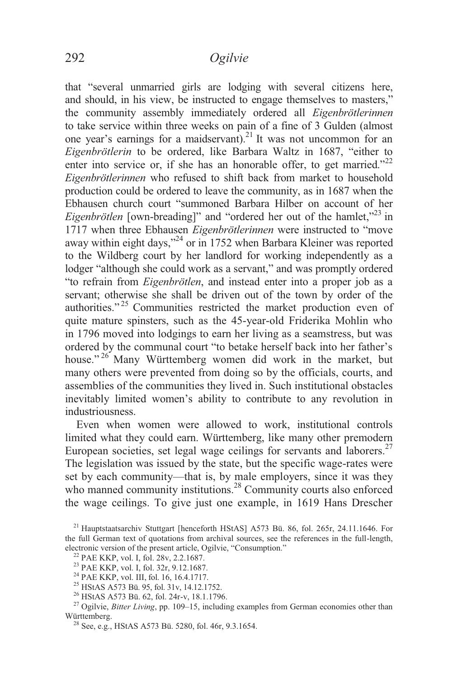that "several unmarried girls are lodging with several citizens here, and should, in his view, be instructed to engage themselves to masters," the community assembly immediately ordered all *Eigenbrötlerinnen* to take service within three weeks on pain of a fine of 3 Gulden (almost one year's earnings for a maidservant).<sup>21</sup> It was not uncommon for an *Eigenbrötlerin* to be ordered, like Barbara Waltz in 1687, "either to enter into service or, if she has an honorable offer, to get married."<sup>22</sup> *Eigenbrötlerinnen* who refused to shift back from market to household production could be ordered to leave the community, as in 1687 when the Ebhausen church court "summoned Barbara Hilber on account of her *Eigenbrötlen* [own-breading]" and "ordered her out of the hamlet,"<sup>23</sup> in 1717 when three Ebhausen *Eigenbrötlerinnen* were instructed to "move away within eight days,"24 or in 1752 when Barbara Kleiner was reported to the Wildberg court by her landlord for working independently as a lodger "although she could work as a servant," and was promptly ordered "to refrain from *Eigenbrötlen*, and instead enter into a proper job as a servant; otherwise she shall be driven out of the town by order of the authorities."<sup>25</sup> Communities restricted the market production even of quite mature spinsters, such as the 45-year-old Friderika Mohlin who in 1796 moved into lodgings to earn her living as a seamstress, but was ordered by the communal court "to betake herself back into her father's house."<sup>26</sup> Many Württemberg women did work in the market, but many others were prevented from doing so by the officials, courts, and assemblies of the communities they lived in. Such institutional obstacles inevitably limited women's ability to contribute to any revolution in industriousness.

 Even when women were allowed to work, institutional controls limited what they could earn. Württemberg, like many other premodern European societies, set legal wage ceilings for servants and laborers.<sup>27</sup> The legislation was issued by the state, but the specific wage-rates were set by each community—that is, by male employers, since it was they who manned community institutions.<sup>28</sup> Community courts also enforced the wage ceilings. To give just one example, in 1619 Hans Drescher

<sup>&</sup>lt;sup>21</sup> Hauptstaatsarchiv Stuttgart [henceforth HStAS] A573 Bü. 86, fol. 265r, 24.11.1646. For the full German text of quotations from archival sources, see the references in the full-length, electronic version of the present article, Ogilvie, "Consumption." 22 PAE KKP, vol. I, fol. 28v, 2.2.1687.

<sup>23</sup> PAE KKP, vol. I, fol. 32r, 9.12.1687.

<sup>24</sup> PAE KKP, vol. III, fol. 16, 16.4.1717.

<sup>25</sup> HStAS A573 Bü. 95, fol. 31v, 14.12.1752.

<sup>26</sup> HStAS A573 Bü. 62, fol. 24r-v, 18.1.1796.

<sup>&</sup>lt;sup>27</sup> Ogilvie, *Bitter Living*, pp. 109–15, including examples from German economies other than Württemberg.

 $^{28}$  See, e.g., HStAS A573 Bü. 5280, fol. 46r, 9.3.1654.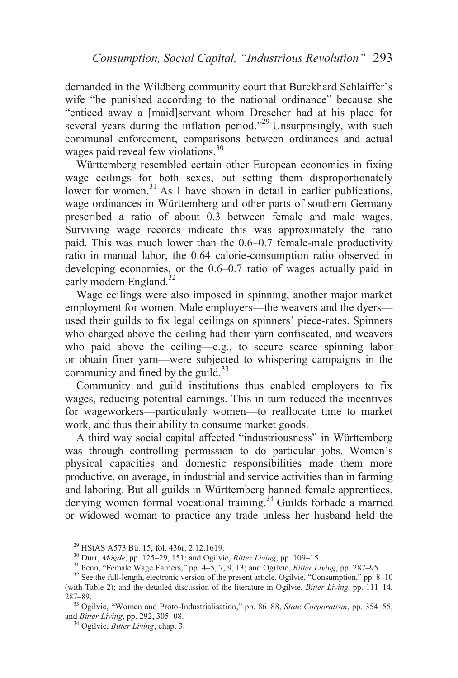demanded in the Wildberg community court that Burckhard Schlaiffer's wife "be punished according to the national ordinance" because she "enticed away a [maid]servant whom Drescher had at his place for several years during the inflation period."<sup>29</sup> Unsurprisingly, with such communal enforcement, comparisons between ordinances and actual wages paid reveal few violations.<sup>30</sup>

 Württemberg resembled certain other European economies in fixing wage ceilings for both sexes, but setting them disproportionately lower for women.<sup>31</sup> As I have shown in detail in earlier publications, wage ordinances in Württemberg and other parts of southern Germany prescribed a ratio of about 0.3 between female and male wages. Surviving wage records indicate this was approximately the ratio paid. This was much lower than the 0.6–0.7 female-male productivity ratio in manual labor, the 0.64 calorie-consumption ratio observed in developing economies, or the 0.6–0.7 ratio of wages actually paid in early modern England.<sup>32</sup>

 Wage ceilings were also imposed in spinning, another major market employment for women. Male employers—the weavers and the dyers used their guilds to fix legal ceilings on spinners' piece-rates. Spinners who charged above the ceiling had their yarn confiscated, and weavers who paid above the ceiling—e.g., to secure scarce spinning labor or obtain finer yarn—were subjected to whispering campaigns in the community and fined by the guild. $33$ 

 Community and guild institutions thus enabled employers to fix wages, reducing potential earnings. This in turn reduced the incentives for wageworkers—particularly women—to reallocate time to market work, and thus their ability to consume market goods.

A third way social capital affected "industriousness" in Württemberg was through controlling permission to do particular jobs. Women's physical capacities and domestic responsibilities made them more productive, on average, in industrial and service activities than in farming and laboring. But all guilds in Württemberg banned female apprentices, denying women formal vocational training.34 Guilds forbade a married or widowed woman to practice any trade unless her husband held the

<sup>&</sup>lt;sup>29</sup> HStAS A573 Bü. 15, fol. 436r, 2.12.1619.<br><sup>30</sup> Dürr, *Mägde*, pp. 125–29, 151; and Ogilvie, *Bitter Living*, pp. 109–15.

<sup>&</sup>lt;sup>31</sup> Penn, "Female Wage Earners," pp. 4–5, 7, 9, 13; and Ogilvie, *Bitter Living*, pp. 287–95.<br><sup>32</sup> See the full-length, electronic version of the present article, Ogilvie, "Consumption," pp. 8–10

<sup>(</sup>with Table 2); and the detailed discussion of the literature in Ogilvie, *Bitter Living*, pp. 111–14, <sup>287</sup>–89. 33 Ogilvie, "Women and Proto-Industrialisation," pp. 86–88, *State Corporatism*, pp. 354–55,

and *Bitter Living*, pp. 292, 305–08. 34 Ogilvie, *Bitter Living*, chap. 3.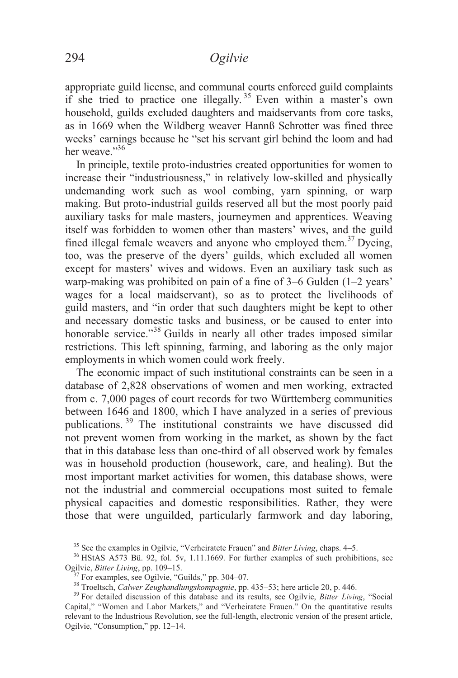appropriate guild license, and communal courts enforced guild complaints if she tried to practice one illegally. <sup>35</sup> Even within a master's own household, guilds excluded daughters and maidservants from core tasks, as in 1669 when the Wildberg weaver Hannß Schrotter was fined three weeks' earnings because he "set his servant girl behind the loom and had her weave."<sup>36</sup>

In principle, textile proto-industries created opportunities for women to increase their "industriousness," in relatively low-skilled and physically undemanding work such as wool combing, yarn spinning, or warp making. But proto-industrial guilds reserved all but the most poorly paid auxiliary tasks for male masters, journeymen and apprentices. Weaving itself was forbidden to women other than masters' wives, and the guild fined illegal female weavers and anyone who employed them.<sup>37</sup> Dyeing, too, was the preserve of the dyers' guilds, which excluded all women except for masters' wives and widows. Even an auxiliary task such as warp-making was prohibited on pain of a fine of 3–6 Gulden (1–2 years' wages for a local maidservant), so as to protect the livelihoods of guild masters, and "in order that such daughters might be kept to other and necessary domestic tasks and business, or be caused to enter into honorable service."<sup>38</sup> Guilds in nearly all other trades imposed similar restrictions. This left spinning, farming, and laboring as the only major employments in which women could work freely.

 The economic impact of such institutional constraints can be seen in a database of 2,828 observations of women and men working, extracted from c. 7,000 pages of court records for two Württemberg communities between 1646 and 1800, which I have analyzed in a series of previous publications. 39 The institutional constraints we have discussed did not prevent women from working in the market, as shown by the fact that in this database less than one-third of all observed work by females was in household production (housework, care, and healing). But the most important market activities for women, this database shows, were not the industrial and commercial occupations most suited to female physical capacities and domestic responsibilities. Rather, they were those that were unguilded, particularly farmwork and day laboring,

<sup>&</sup>lt;sup>35</sup> See the examples in Ogilvie, "Verheiratete Frauen" and *Bitter Living*, chaps. 4–5.<br><sup>36</sup> HStAS A573 Bü. 92, fol. 5v, 1.11.1669. For further examples of such prohibitions, see<br>Ogilvie, *Bitter Living*, pp. 109–15.

<sup>&</sup>lt;sup>37</sup> For examples, see Ogilvie, "Guilds," pp. 304–07.<br><sup>38</sup> Troeltsch, *Calwer Zeughandlungskompagnie*, pp. 435–53; here article 20, p. 446.<br><sup>39</sup> For detailed discussion of this database and its results, see Ogilvie, *Bitt* Capital," "Women and Labor Markets," and "Verheiratete Frauen." On the quantitative results relevant to the Industrious Revolution, see the full-length, electronic version of the present article, Ogilvie, "Consumption," pp. 12–14.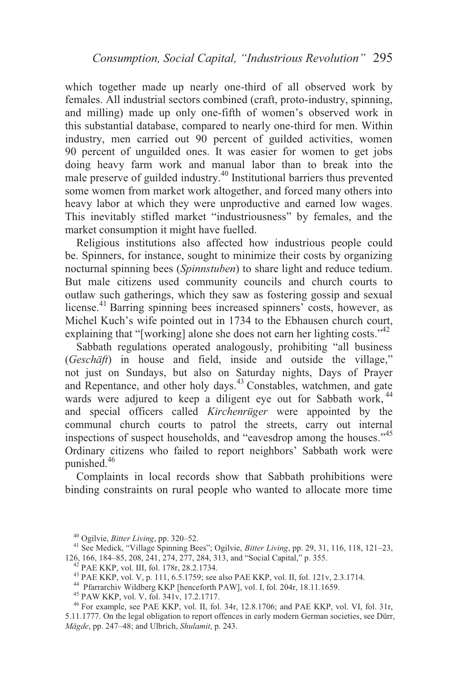which together made up nearly one-third of all observed work by females. All industrial sectors combined (craft, proto-industry, spinning, and milling) made up only one-fifth of women's observed work in this substantial database, compared to nearly one-third for men. Within industry, men carried out 90 percent of guilded activities, women 90 percent of unguilded ones. It was easier for women to get jobs doing heavy farm work and manual labor than to break into the male preserve of guilded industry.40 Institutional barriers thus prevented some women from market work altogether, and forced many others into heavy labor at which they were unproductive and earned low wages. This inevitably stifled market "industriousness" by females, and the market consumption it might have fuelled.

 Religious institutions also affected how industrious people could be. Spinners, for instance, sought to minimize their costs by organizing nocturnal spinning bees (*Spinnstuben*) to share light and reduce tedium. But male citizens used community councils and church courts to outlaw such gatherings, which they saw as fostering gossip and sexual license.<sup>41</sup> Barring spinning bees increased spinners' costs, however, as Michel Kuch's wife pointed out in 1734 to the Ebhausen church court, explaining that "[working] alone she does not earn her lighting costs."<sup>42</sup>

Sabbath regulations operated analogously, prohibiting "all business (*Geschäft*) in house and field, inside and outside the village," not just on Sundays, but also on Saturday nights, Days of Prayer and Repentance, and other holy days.<sup>43</sup> Constables, watchmen, and gate wards were adjured to keep a diligent eye out for Sabbath work, <sup>44</sup> and special officers called *Kirchenrüger* were appointed by the communal church courts to patrol the streets, carry out internal inspections of suspect households, and "eavesdrop among the houses."<sup>45</sup> Ordinary citizens who failed to report neighbors' Sabbath work were punished.46

 Complaints in local records show that Sabbath prohibitions were binding constraints on rural people who wanted to allocate more time

- 43 PAE KKP, vol. V, p. 111, 6.5.1759; see also PAE KKP, vol. II, fol. 121v, 2.3.1714.
- 44 Pfarrarchiv Wildberg KKP [henceforth PAW], vol. I, fol. 204r, 18.11.1659.
- 45 PAW KKP, vol. V, fol. 341v, 17.2.1717.

<sup>40</sup> Ogilvie, *Bitter Living*, pp. 320–52. 41 See Medick, "Village Spinning Bees"; Ogilvie, *Bitter Living*, pp. 29, 31, 116, 118, 121–23, 126, 166, 184–85, 208, 241, 274, 277, 284, 313, and "Social Capital," p. 355. 42 PAE KKP, vol. III, fol. 178r, 28.2.1734.

 $^{46}$  For example, see PAE KKP, vol. II, fol. 34r, 12.8.1706; and PAE KKP, vol. VI, fol. 31r, 5.11.1777. On the legal obligation to report offences in early modern German societies, see Dürr, *Mägde*, pp. 247–48; and Ulbrich, *Shulamit*, p. 243.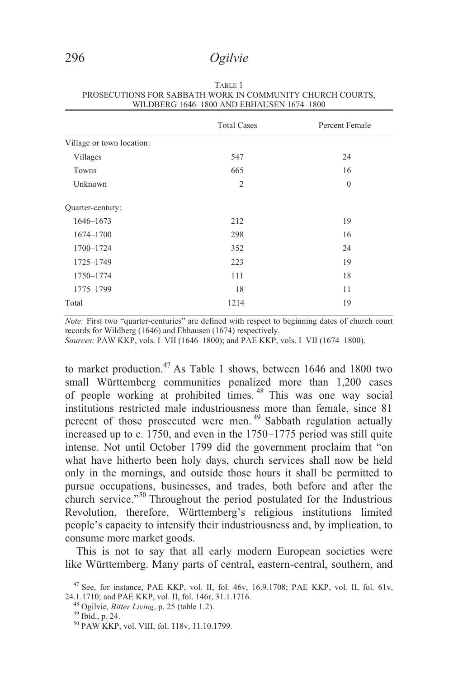# 296 *Ogilvie*

|                           | <b>Total Cases</b> | Percent Female |  |  |  |
|---------------------------|--------------------|----------------|--|--|--|
| Village or town location: |                    |                |  |  |  |
| Villages                  | 547                | 24             |  |  |  |
| Towns                     | 665                | 16             |  |  |  |
| Unknown                   | $\overline{2}$     | $\mathbf{0}$   |  |  |  |
| Quarter-century:          |                    |                |  |  |  |
| 1646-1673                 | 212                | 19             |  |  |  |
| 1674-1700                 | 298                | 16             |  |  |  |
| 1700-1724                 | 352                | 24             |  |  |  |
| 1725-1749                 | 223                | 19             |  |  |  |
| 1750-1774                 | 111                | 18             |  |  |  |
| 1775-1799                 | 18                 | 11             |  |  |  |
| Total                     | 1214               | 19             |  |  |  |

| TARLE <sub>1</sub>                                        |
|-----------------------------------------------------------|
| PROSECUTIONS FOR SABBATH WORK IN COMMUNITY CHURCH COURTS, |
| WILDBERG 1646–1800 AND EBHAUSEN 1674–1800                 |

*Note:* First two "quarter-centuries" are defined with respect to beginning dates of church court records for Wildberg (1646) and Ebhausen (1674) respectively.

*Sources:* PAW KKP, vols. I–VII (1646–1800); and PAE KKP, vols. I–VII (1674–1800).

to market production.<sup>47</sup> As Table 1 shows, between 1646 and 1800 two small Württemberg communities penalized more than 1,200 cases of people working at prohibited times. 48 This was one way social institutions restricted male industriousness more than female, since 81 percent of those prosecuted were men.<sup>49</sup> Sabbath regulation actually increased up to c. 1750, and even in the 1750–1775 period was still quite intense. Not until October 1799 did the government proclaim that "on what have hitherto been holy days, church services shall now be held only in the mornings, and outside those hours it shall be permitted to pursue occupations, businesses, and trades, both before and after the church service."50 Throughout the period postulated for the Industrious Revolution, therefore, Württemberg's religious institutions limited people's capacity to intensify their industriousness and, by implication, to consume more market goods.

 This is not to say that all early modern European societies were like Württemberg. Many parts of central, eastern-central, southern, and

 $^{47}$  See, for instance, PAE KKP, vol. II, fol. 46v, 16.9.1708; PAE KKP, vol. II, fol. 61v, 24.1.1710; and PAE KKP, vol. II, fol. 146r, 31.1.1716. 48 Ogilvie, *Bitter Living*, p. 25 (table 1.2). 49 Ibid., p. 24.

<sup>50</sup> PAW KKP, vol. VIII, fol. 118v, 11.10.1799.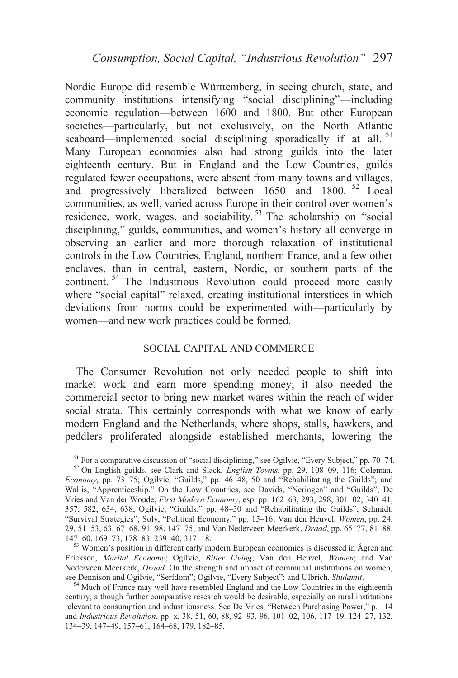Nordic Europe did resemble Württemberg, in seeing church, state, and community institutions intensifying "social disciplining"—including economic regulation—between 1600 and 1800. But other European societies—particularly, but not exclusively, on the North Atlantic seaboard—implemented social disciplining sporadically if at all.<sup>51</sup> Many European economies also had strong guilds into the later eighteenth century. But in England and the Low Countries, guilds regulated fewer occupations, were absent from many towns and villages, and progressively liberalized between 1650 and 1800. 52 Local communities, as well, varied across Europe in their control over women's residence, work, wages, and sociability.<sup>53</sup> The scholarship on "social" disciplining," guilds, communities, and women's history all converge in observing an earlier and more thorough relaxation of institutional controls in the Low Countries, England, northern France, and a few other enclaves, than in central, eastern, Nordic, or southern parts of the continent.<sup>54</sup> The Industrious Revolution could proceed more easily where "social capital" relaxed, creating institutional interstices in which deviations from norms could be experimented with—particularly by women—and new work practices could be formed.

#### SOCIAL CAPITAL AND COMMERCE

 The Consumer Revolution not only needed people to shift into market work and earn more spending money; it also needed the commercial sector to bring new market wares within the reach of wider social strata. This certainly corresponds with what we know of early modern England and the Netherlands, where shops, stalls, hawkers, and peddlers proliferated alongside established merchants, lowering the

<sup>51</sup> For a comparative discussion of "social disciplining," see Ogilvie, "Every Subject," pp. 70–74. 52 On English guilds, see Clark and Slack, *English Towns*, pp. 29, 108–09, 116; Coleman, *Economy*, pp. 73–75; Ogilvie, "Guilds," pp. 46–48, 50 and "Rehabilitating the Guilds"; and Wallis, "Apprenticeship." On the Low Countries, see Davids, "Neringen" and "Guilds"; De Vries and Van der Woude, *First Modern Economy*, esp. pp. 162–63, 293, 298, 301–02, 340–41, 357, 582, 634, 638; Ogilvie, "Guilds," pp. 48–50 and "Rehabilitating the Guilds"; Schmidt, "Survival Strategies"; Soly, "Political Economy," pp. 15–16; Van den Heuvel, *Women*, pp. 24, 29, 51–53, 63, 67–68, 91–98, 147–75; and Van Nederveen Meerkerk, *Draad*, pp. 65–77, 81–88,

 $53$  Women's position in different early modern European economies is discussed in Ågren and Erickson, *Marital Economy*; Ogilvie, *Bitter Living*; Van den Heuvel, *Women*; and Van Nederveen Meerkerk, *Draad*. On the strength and impact of communal institutions on women, see Dennison and Ogilvie, "Serfdom"; Ogilvie, "Every Subject"; and Ulbrich, *Shulamit*. 54 Much of France may well have resembled England and the Low Countries in the eighteenth

century, although further comparative research would be desirable, especially on rural institutions relevant to consumption and industriousness. See De Vries, "Between Purchasing Power," p. 114 and *Industrious Revolution*, pp. x, 38, 51, 60, 88, 92–93, 96, 101–02, 106, 117–19, 124–27, 132, 134–39, 147–49, 157–61, 164–68, 179, 182–85.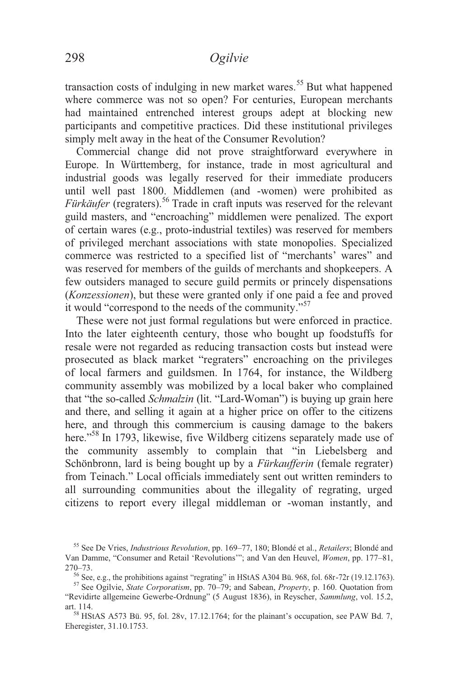transaction costs of indulging in new market wares.<sup>55</sup> But what happened where commerce was not so open? For centuries, European merchants had maintained entrenched interest groups adept at blocking new participants and competitive practices. Did these institutional privileges simply melt away in the heat of the Consumer Revolution?

Commercial change did not prove straightforward everywhere in Europe. In Württemberg, for instance, trade in most agricultural and industrial goods was legally reserved for their immediate producers until well past 1800. Middlemen (and -women) were prohibited as *Fürkäufer* (regraters).<sup>56</sup> Trade in craft inputs was reserved for the relevant guild masters, and "encroaching" middlemen were penalized. The export of certain wares (e.g., proto-industrial textiles) was reserved for members of privileged merchant associations with state monopolies. Specialized commerce was restricted to a specified list of "merchants' wares" and was reserved for members of the guilds of merchants and shopkeepers. A few outsiders managed to secure guild permits or princely dispensations (*Konzessionen*), but these were granted only if one paid a fee and proved it would "correspond to the needs of the community."57

 These were not just formal regulations but were enforced in practice. Into the later eighteenth century, those who bought up foodstuffs for resale were not regarded as reducing transaction costs but instead were prosecuted as black market "regraters" encroaching on the privileges of local farmers and guildsmen. In 1764, for instance, the Wildberg community assembly was mobilized by a local baker who complained that "the so-called *Schmalzin* (lit. "Lard-Woman") is buying up grain here and there, and selling it again at a higher price on offer to the citizens here, and through this commercium is causing damage to the bakers here.<sup>58</sup> In 1793, likewise, five Wildberg citizens separately made use of the community assembly to complain that "in Liebelsberg and Schönbronn, lard is being bought up by a *Fürkaufferin* (female regrater) from Teinach." Local officials immediately sent out written reminders to all surrounding communities about the illegality of regrating, urged citizens to report every illegal middleman or -woman instantly, and

<sup>55</sup> See De Vries, *Industrious Revolution*, pp. 169–77, 180; Blondé et al., *Retailers*; Blondé and Van Damme, "Consumer and Retail 'Revolutions'"; and Van den Heuvel, *Women*, pp. 177–81,

<sup>270</sup>–73. 56 See, e.g., the prohibitions against "regrating" in HStAS A304 Bü. 968, fol. 68r-72r (19.12.1763). 57 See Ogilvie, *State Corporatism*, pp. 70–79; and Sabean, *Property*, p. 160. Quotation from

<sup>&</sup>quot;Revidirte allgemeine Gewerbe-Ordnung" (5 August 1836), in Reyscher, *Sammlung*, vol. 15.2, art. 114.  $^{58}$  HStAS A573 Bü. 95, fol. 28v, 17.12.1764; for the plainant's occupation, see PAW Bd. 7,

Eheregister, 31.10.1753.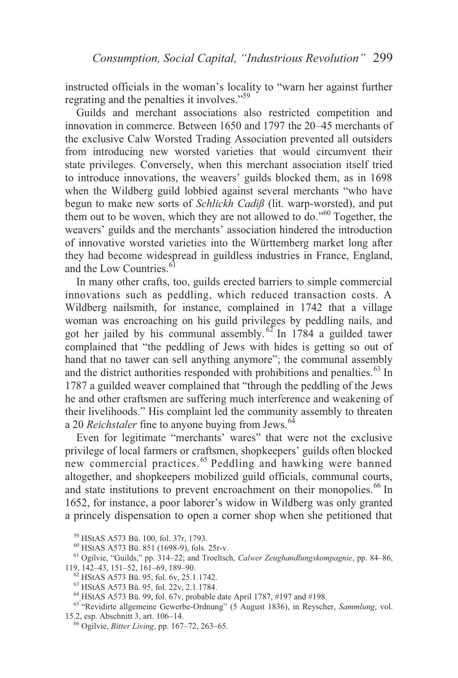instructed officials in the woman's locality to "warn her against further regrating and the penalties it involves."<sup>59</sup>

Guilds and merchant associations also restricted competition and innovation in commerce. Between 1650 and 1797 the 20–45 merchants of the exclusive Calw Worsted Trading Association prevented all outsiders from introducing new worsted varieties that would circumvent their state privileges. Conversely, when this merchant association itself tried to introduce innovations, the weavers' guilds blocked them, as in 1698 when the Wildberg guild lobbied against several merchants "who have begun to make new sorts of *Schlickh Cadiß* (lit. warp-worsted), and put them out to be woven, which they are not allowed to do."<sup>60</sup> Together, the weavers' guilds and the merchants' association hindered the introduction of innovative worsted varieties into the Württemberg market long after they had become widespread in guildless industries in France, England, and the Low Countries.<sup>61</sup>

In many other crafts, too, guilds erected barriers to simple commercial innovations such as peddling, which reduced transaction costs. A Wildberg nailsmith, for instance, complained in 1742 that a village woman was encroaching on his guild privileges by peddling nails, and got her jailed by his communal assembly.<sup>62</sup> In 1784 a guilded tawer complained that "the peddling of Jews with hides is getting so out of hand that no tawer can sell anything anymore"; the communal assembly and the district authorities responded with prohibitions and penalties.<sup>63</sup> In 1787 a guilded weaver complained that "through the peddling of the Jews he and other craftsmen are suffering much interference and weakening of their livelihoods." His complaint led the community assembly to threaten a 20 *Reichstaler* fine to anyone buying from Jews.<sup>64</sup>

Even for legitimate "merchants' wares" that were not the exclusive privilege of local farmers or craftsmen, shopkeepers' guilds often blocked new commercial practices. 65 Peddling and hawking were banned altogether, and shopkeepers mobilized guild officials, communal courts, and state institutions to prevent encroachment on their monopolies.<sup>66</sup> In 1652, for instance, a poor laborer's widow in Wildberg was only granted a princely dispensation to open a corner shop when she petitioned that

<sup>59</sup> HStAS A573 Bü. 100, fol. 37r, 1793.

<sup>60</sup> HStAS A573 Bü. 851 (1698-9), fols. 25r-v.

<sup>61</sup> Ogilvie, "Guilds," pp. 314–22; and Troeltsch, *Calwer Zeughandlungskompagnie*, pp. 84–86, 119, 142–43, 151–52, 161–69, 189–90. 62 HStAS A573 Bü. 95, fol. 6v, 25.1.1742.

<sup>&</sup>lt;sup>63</sup> HStAS A573 Bü. 95, fol. 22v, 2.1.1784.<br><sup>64</sup> HStAS A573 Bü. 99, fol. 67v, probable date April 1787, #197 and #198.

<sup>&</sup>lt;sup>65</sup> "Revidirte allgemeine Gewerbe-Ordnung" (5 August 1836), in Reyscher, *Sammlung*, vol. 15.2, esp. Abschnitt 3, art. 106–14. 66 Ogilvie, *Bitter Living*, pp. 167–72, 263–65.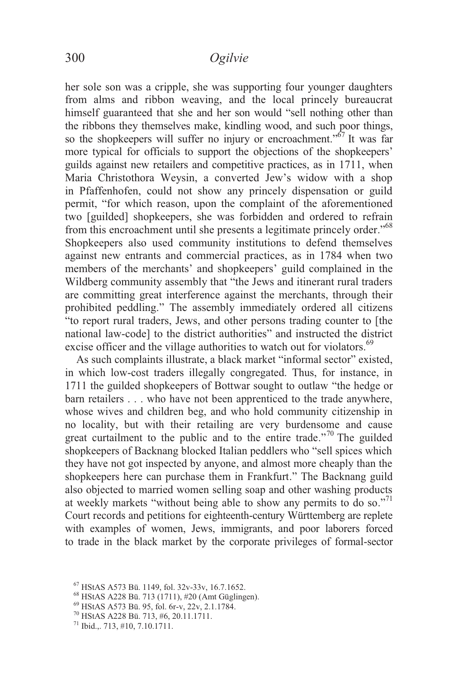# 300 *Ogilvie*

her sole son was a cripple, she was supporting four younger daughters from alms and ribbon weaving, and the local princely bureaucrat himself guaranteed that she and her son would "sell nothing other than the ribbons they themselves make, kindling wood, and such poor things, so the shopkeepers will suffer no injury or encroachment." $\delta$ <sup>7</sup> It was far more typical for officials to support the objections of the shopkeepers' guilds against new retailers and competitive practices, as in 1711, when Maria Christothora Weysin, a converted Jew's widow with a shop in Pfaffenhofen, could not show any princely dispensation or guild permit, "for which reason, upon the complaint of the aforementioned two [guilded] shopkeepers, she was forbidden and ordered to refrain from this encroachment until she presents a legitimate princely order."<sup>68</sup> Shopkeepers also used community institutions to defend themselves against new entrants and commercial practices, as in 1784 when two members of the merchants' and shopkeepers' guild complained in the Wildberg community assembly that "the Jews and itinerant rural traders are committing great interference against the merchants, through their prohibited peddling." The assembly immediately ordered all citizens "to report rural traders, Jews, and other persons trading counter to [the national law-code] to the district authorities" and instructed the district excise officer and the village authorities to watch out for violators.<sup>69</sup>

 As such complaints illustrate, a black market "informal sector" existed, in which low-cost traders illegally congregated. Thus, for instance, in 1711 the guilded shopkeepers of Bottwar sought to outlaw "the hedge or barn retailers . . . who have not been apprenticed to the trade anywhere, whose wives and children beg, and who hold community citizenship in no locality, but with their retailing are very burdensome and cause great curtailment to the public and to the entire trade."<sup>70</sup> The guilded shopkeepers of Backnang blocked Italian peddlers who "sell spices which they have not got inspected by anyone, and almost more cheaply than the shopkeepers here can purchase them in Frankfurt." The Backnang guild also objected to married women selling soap and other washing products at weekly markets "without being able to show any permits to do so."<sup>71</sup> Court records and petitions for eighteenth-century Württemberg are replete with examples of women, Jews, immigrants, and poor laborers forced to trade in the black market by the corporate privileges of formal-sector

<sup>67</sup> HStAS A573 Bü. 1149, fol. 32v-33v, 16.7.1652.

<sup>68</sup> HStAS A228 Bü. 713 (1711), #20 (Amt Güglingen).

<sup>69</sup> HStAS A573 Bü. 95, fol. 6r-v, 22v, 2.1.1784.

<sup>70</sup> HStAS A228 Bü. 713, #6, 20.11.1711.

<sup>71</sup> Ibid.,. 713, #10, 7.10.1711.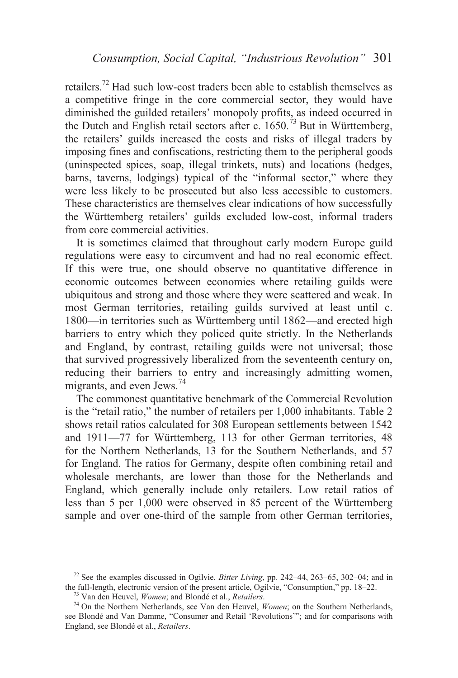retailers.<sup>72</sup> Had such low-cost traders been able to establish themselves as a competitive fringe in the core commercial sector, they would have diminished the guilded retailers' monopoly profits, as indeed occurred in the Dutch and English retail sectors after c.  $1650^{23}$  But in Württemberg, the retailers' guilds increased the costs and risks of illegal traders by imposing fines and confiscations, restricting them to the peripheral goods (uninspected spices, soap, illegal trinkets, nuts) and locations (hedges, barns, taverns, lodgings) typical of the "informal sector," where they were less likely to be prosecuted but also less accessible to customers. These characteristics are themselves clear indications of how successfully the Württemberg retailers' guilds excluded low-cost, informal traders from core commercial activities.

 It is sometimes claimed that throughout early modern Europe guild regulations were easy to circumvent and had no real economic effect. If this were true, one should observe no quantitative difference in economic outcomes between economies where retailing guilds were ubiquitous and strong and those where they were scattered and weak. In most German territories, retailing guilds survived at least until c. 1800—in territories such as Württemberg until 1862—and erected high barriers to entry which they policed quite strictly. In the Netherlands and England, by contrast, retailing guilds were not universal; those that survived progressively liberalized from the seventeenth century on, reducing their barriers to entry and increasingly admitting women, migrants, and even Jews.<sup>74</sup>

 The commonest quantitative benchmark of the Commercial Revolution is the "retail ratio," the number of retailers per 1,000 inhabitants. Table 2 shows retail ratios calculated for 308 European settlements between 1542 and 1911—77 for Württemberg, 113 for other German territories, 48 for the Northern Netherlands, 13 for the Southern Netherlands, and 57 for England. The ratios for Germany, despite often combining retail and wholesale merchants, are lower than those for the Netherlands and England, which generally include only retailers. Low retail ratios of less than 5 per 1,000 were observed in 85 percent of the Württemberg sample and over one-third of the sample from other German territories,

<sup>&</sup>lt;sup>72</sup> See the examples discussed in Ogilvie, *Bitter Living*, pp. 242–44, 263–65, 302–04; and in the full-length, electronic version of the present article, Ogilvie, "Consumption," pp. 18–22.

 $^{73}$  Van den Heuvel, *Women*; and Blondé et al., *Retailers*.<br><sup>74</sup> On the Northern Netherlands, see Van den Heuvel, *Women*; on the Southern Netherlands, see Blondé and Van Damme, "Consumer and Retail 'Revolutions'"; and for comparisons with England, see Blondé et al., *Retailers*.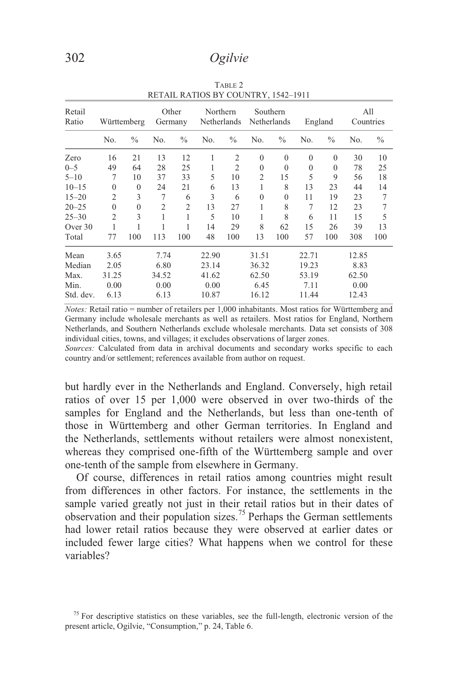### 302 *Ogilvie*

| Retail<br>Ratio | Württemberg    |               | Other<br>Germany |                | Northern<br>Netherlands |                | Southern<br>Netherlands |               | England  |               | All<br>Countries |               |
|-----------------|----------------|---------------|------------------|----------------|-------------------------|----------------|-------------------------|---------------|----------|---------------|------------------|---------------|
|                 | No.            | $\frac{0}{0}$ | No.              | $\frac{0}{0}$  | No.                     | $\%$           | No.                     | $\frac{0}{0}$ | No.      | $\frac{0}{0}$ | No.              | $\frac{0}{0}$ |
| Zero            | 16             | 21            | 13               | 12             | 1                       | $\overline{c}$ | $\theta$                | $\theta$      | $\theta$ | $\theta$      | 30               | 10            |
| $0 - 5$         | 49             | 64            | 28               | 25             | 1                       | $\overline{2}$ | $\theta$                | $\mathbf{0}$  | $\theta$ | $\theta$      | 78               | 25            |
| $5 - 10$        | 7              | 10            | 37               | 33             | 5                       | 10             | $\overline{2}$          | 15            | 5        | 9             | 56               | 18            |
| $10 - 15$       | $\theta$       | $\theta$      | 24               | 21             | 6                       | 13             | 1                       | 8             | 13       | 23            | 44               | 14            |
| $15 - 20$       | 2              | 3             | 7                | 6              | 3                       | 6              | $\boldsymbol{0}$        | $\mathbf{0}$  | 11       | 19            | 23               | 7             |
| $20 - 25$       | $\theta$       | $\theta$      | $\overline{2}$   | $\overline{2}$ | 13                      | 27             | 1                       | 8             | 7        | 12            | 23               | 7             |
| $25 - 30$       | $\overline{2}$ | 3             | 1                | 1              | 5                       | 10             | 1                       | 8             | 6        | 11            | 15               | 5             |
| Over 30         | 1              |               | 1                |                | 14                      | 29             | 8                       | 62            | 15       | 26            | 39               | 13            |
| Total           | 77             | 100           | 113              | 100            | 48                      | 100            | 13                      | 100           | 57       | 100           | 308              | 100           |
| Mean            | 3.65           |               | 7.74             |                | 22.90                   |                | 31.51                   |               | 22.71    |               | 12.85            |               |
| Median          | 2.05           |               | 6.80             |                | 23.14                   |                | 36.32                   |               | 19.23    |               | 8.83             |               |
| Max.            | 31.25          |               | 34.52            |                | 41.62                   |                | 62.50                   |               | 53.19    |               | 62.50            |               |
| Min.            | 0.00           |               | 0.00             |                | 0.00                    |                | 6.45                    |               | 7.11     |               | 0.00             |               |
| Std. dev.       | 6.13           |               | 6.13             |                | 10.87                   | 16.12          |                         | 11.44         |          | 12.43         |                  |               |

 TABLE 2 RETAIL RATIOS BY COUNTRY, 1542–1911

*Notes:* Retail ratio = number of retailers per 1,000 inhabitants. Most ratios for Württemberg and Germany include wholesale merchants as well as retailers. Most ratios for England, Northern Netherlands, and Southern Netherlands exclude wholesale merchants. Data set consists of 308 individual cities, towns, and villages; it excludes observations of larger zones.

*Sources:* Calculated from data in archival documents and secondary works specific to each country and/or settlement; references available from author on request.

but hardly ever in the Netherlands and England. Conversely, high retail ratios of over 15 per 1,000 were observed in over two-thirds of the samples for England and the Netherlands, but less than one-tenth of those in Württemberg and other German territories. In England and the Netherlands, settlements without retailers were almost nonexistent, whereas they comprised one-fifth of the Württemberg sample and over one-tenth of the sample from elsewhere in Germany.

Of course, differences in retail ratios among countries might result from differences in other factors. For instance, the settlements in the sample varied greatly not just in their retail ratios but in their dates of observation and their population sizes.<sup>75</sup> Perhaps the German settlements had lower retail ratios because they were observed at earlier dates or included fewer large cities? What happens when we control for these variables?

 $75$  For descriptive statistics on these variables, see the full-length, electronic version of the present article, Ogilvie, "Consumption," p. 24, Table 6.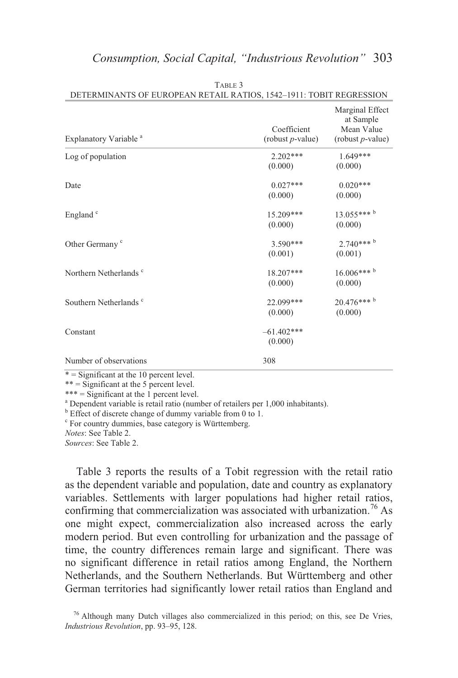| Explanatory Variable <sup>a</sup> | Coefficient<br>(robust $p$ -value) | Marginal Effect<br>at Sample<br>Mean Value<br>(robust $p$ -value) |
|-----------------------------------|------------------------------------|-------------------------------------------------------------------|
| Log of population                 | $2.202***$<br>(0.000)              | $1.649***$<br>(0.000)                                             |
| Date                              | $0.027***$<br>(0.000)              | $0.020***$<br>(0.000)                                             |
| England <sup>c</sup>              | 15.209***<br>(0.000)               | $13.055***$ <sup>b</sup><br>(0.000)                               |
| Other Germany <sup>c</sup>        | $3.590***$<br>(0.001)              | $2.740***$ <sup>b</sup><br>(0.001)                                |
| Northern Netherlands <sup>c</sup> | 18.207***<br>(0.000)               | $16.006***$ <sup>b</sup><br>(0.000)                               |
| Southern Netherlands <sup>c</sup> | 22.099***<br>(0.000)               | 20.476*** b<br>(0.000)                                            |
| Constant                          | $-61.402***$<br>(0.000)            |                                                                   |
| Number of observations            | 308                                |                                                                   |

 TABLE 3 DETERMINANTS OF EUROPEAN RETAIL RATIOS, 1542–1911: TOBIT REGRESSION

\* = Significant at the 10 percent level.

\*\* = Significant at the 5 percent level.

\*\*\* = Significant at the 1 percent level.

<sup>a</sup> Dependent variable is retail ratio (number of retailers per 1,000 inhabitants).

<sup>b</sup> Effect of discrete change of dummy variable from 0 to 1.

c For country dummies, base category is Württemberg.

*Notes*: See Table 2.

*Sources*: See Table 2.

 Table 3 reports the results of a Tobit regression with the retail ratio as the dependent variable and population, date and country as explanatory variables. Settlements with larger populations had higher retail ratios, confirming that commercialization was associated with urbanization.<sup>76</sup> As one might expect, commercialization also increased across the early modern period. But even controlling for urbanization and the passage of time, the country differences remain large and significant. There was no significant difference in retail ratios among England, the Northern Netherlands, and the Southern Netherlands. But Württemberg and other German territories had significantly lower retail ratios than England and

 $76$  Although many Dutch villages also commercialized in this period; on this, see De Vries, *Industrious Revolution*, pp. 93–95, 128.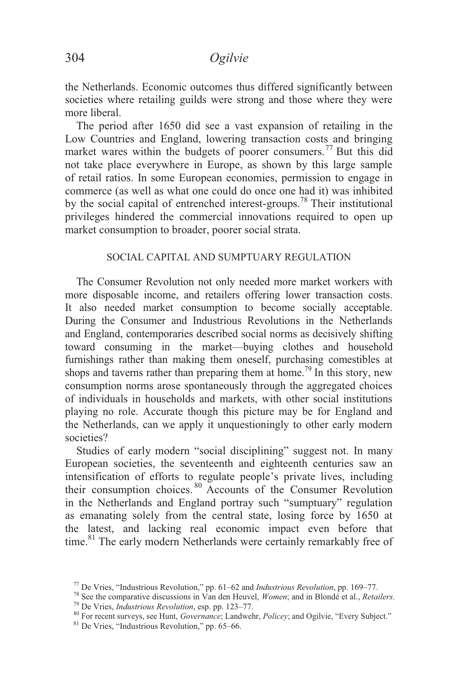the Netherlands. Economic outcomes thus differed significantly between societies where retailing guilds were strong and those where they were more liberal.

 The period after 1650 did see a vast expansion of retailing in the Low Countries and England, lowering transaction costs and bringing market wares within the budgets of poorer consumers.<sup>77</sup> But this did not take place everywhere in Europe, as shown by this large sample of retail ratios. In some European economies, permission to engage in commerce (as well as what one could do once one had it) was inhibited by the social capital of entrenched interest-groups.78 Their institutional privileges hindered the commercial innovations required to open up market consumption to broader, poorer social strata.

#### SOCIAL CAPITAL AND SUMPTUARY REGULATION

 The Consumer Revolution not only needed more market workers with more disposable income, and retailers offering lower transaction costs. It also needed market consumption to become socially acceptable. During the Consumer and Industrious Revolutions in the Netherlands and England, contemporaries described social norms as decisively shifting toward consuming in the market—buying clothes and household furnishings rather than making them oneself, purchasing comestibles at shops and taverns rather than preparing them at home.<sup>79</sup> In this story, new consumption norms arose spontaneously through the aggregated choices of individuals in households and markets, with other social institutions playing no role. Accurate though this picture may be for England and the Netherlands, can we apply it unquestioningly to other early modern societies?

Studies of early modern "social disciplining" suggest not. In many European societies, the seventeenth and eighteenth centuries saw an intensification of efforts to regulate people's private lives, including their consumption choices. 80 Accounts of the Consumer Revolution in the Netherlands and England portray such "sumptuary" regulation as emanating solely from the central state, losing force by 1650 at the latest, and lacking real economic impact even before that time.<sup>81</sup> The early modern Netherlands were certainly remarkably free of

<sup>&</sup>lt;sup>77</sup> De Vries, "Industrious Revolution," pp. 61–62 and *Industrious Revolution*, pp. 169–77.<br><sup>78</sup> See the comparative discussions in Van den Heuvel, *Women*; and in Blondé et al., *Retailers*.<br><sup>79</sup> De Vries, *Industrious*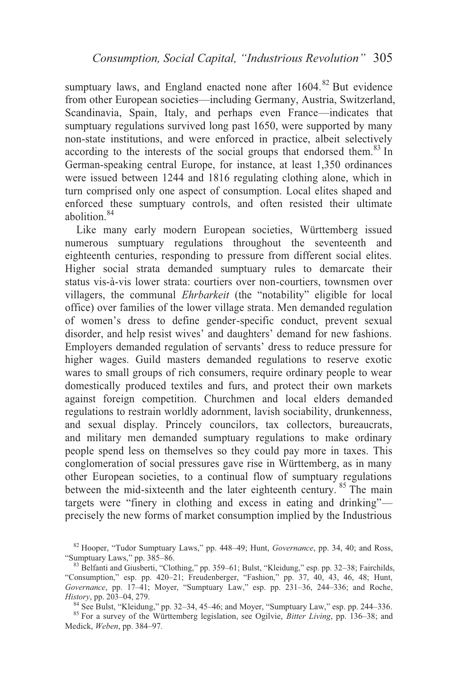sumptuary laws, and England enacted none after  $1604$ .<sup>82</sup> But evidence from other European societies—including Germany, Austria, Switzerland, Scandinavia, Spain, Italy, and perhaps even France—indicates that sumptuary regulations survived long past 1650, were supported by many non-state institutions, and were enforced in practice, albeit selectively according to the interests of the social groups that endorsed them.<sup>83</sup> In German-speaking central Europe, for instance, at least 1,350 ordinances were issued between 1244 and 1816 regulating clothing alone, which in turn comprised only one aspect of consumption. Local elites shaped and enforced these sumptuary controls, and often resisted their ultimate abolition.<sup>84</sup>

 Like many early modern European societies, Württemberg issued numerous sumptuary regulations throughout the seventeenth and eighteenth centuries, responding to pressure from different social elites. Higher social strata demanded sumptuary rules to demarcate their status vis-à-vis lower strata: courtiers over non-courtiers, townsmen over villagers, the communal *Ehrbarkeit* (the "notability" eligible for local office) over families of the lower village strata. Men demanded regulation of women's dress to define gender-specific conduct, prevent sexual disorder, and help resist wives' and daughters' demand for new fashions. Employers demanded regulation of servants' dress to reduce pressure for higher wages. Guild masters demanded regulations to reserve exotic wares to small groups of rich consumers, require ordinary people to wear domestically produced textiles and furs, and protect their own markets against foreign competition. Churchmen and local elders demanded regulations to restrain worldly adornment, lavish sociability, drunkenness, and sexual display. Princely councilors, tax collectors, bureaucrats, and military men demanded sumptuary regulations to make ordinary people spend less on themselves so they could pay more in taxes. This conglomeration of social pressures gave rise in Württemberg, as in many other European societies, to a continual flow of sumptuary regulations between the mid-sixteenth and the later eighteenth century. <sup>85</sup> The main targets were "finery in clothing and excess in eating and drinking" precisely the new forms of market consumption implied by the Industrious

<sup>82</sup> Hooper, "Tudor Sumptuary Laws," pp. 448–49; Hunt, *Governance*, pp. 34, 40; and Ross, "Sumptuary Laws," pp. 385–86. 83 Belfanti and Giusberti, "Clothing," pp. 359–61; Bulst, "Kleidung," esp. pp. 32–38; Fairchilds,

<sup>&</sup>quot;Consumption," esp. pp. 420–21; Freudenberger, "Fashion," pp. 37, 40, 43, 46, 48; Hunt, *Governance*, pp. 17–41; Moyer, "Sumptuary Law," esp. pp. 231–36, 244–336; and Roche, *History*, pp. 203–04, 279.<br><sup>84</sup> See Bulst, "Kleidung," pp. 32–34, 45–46; and Moyer, "Sumptuary Law," esp. pp. 244–336.<br><sup>85</sup> For a survey of the Württemberg legislation, see Ogilvie, *Bitter Living*, pp. 136–38; and

Medick, *Weben*, pp. 384–97.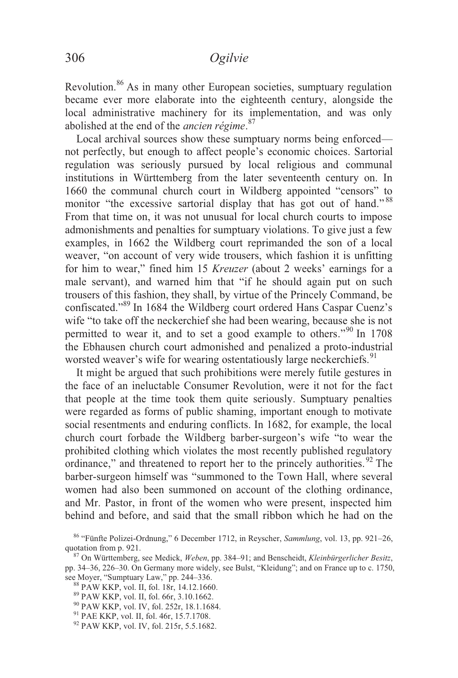Revolution.<sup>86</sup> As in many other European societies, sumptuary regulation became ever more elaborate into the eighteenth century, alongside the local administrative machinery for its implementation, and was only abolished at the end of the *ancien régime*. 87

Local archival sources show these sumptuary norms being enforced not perfectly, but enough to affect people's economic choices. Sartorial regulation was seriously pursued by local religious and communal institutions in Württemberg from the later seventeenth century on. In 1660 the communal church court in Wildberg appointed "censors" to monitor "the excessive sartorial display that has got out of hand."<sup>88</sup> From that time on, it was not unusual for local church courts to impose admonishments and penalties for sumptuary violations. To give just a few examples, in 1662 the Wildberg court reprimanded the son of a local weaver, "on account of very wide trousers, which fashion it is unfitting for him to wear," fined him 15 *Kreuzer* (about 2 weeks' earnings for a male servant), and warned him that "if he should again put on such trousers of this fashion, they shall, by virtue of the Princely Command, be confiscated."89 In 1684 the Wildberg court ordered Hans Caspar Cuenz's wife "to take off the neckerchief she had been wearing, because she is not permitted to wear it, and to set a good example to others."90 In 1708 the Ebhausen church court admonished and penalized a proto-industrial worsted weaver's wife for wearing ostentatiously large neckerchiefs.<sup>91</sup>

 It might be argued that such prohibitions were merely futile gestures in the face of an ineluctable Consumer Revolution, were it not for the fact that people at the time took them quite seriously. Sumptuary penalties were regarded as forms of public shaming, important enough to motivate social resentments and enduring conflicts. In 1682, for example, the local church court forbade the Wildberg barber-surgeon's wife "to wear the prohibited clothing which violates the most recently published regulatory ordinance," and threatened to report her to the princely authorities.<sup>92</sup> The barber-surgeon himself was "summoned to the Town Hall, where several women had also been summoned on account of the clothing ordinance, and Mr. Pastor, in front of the women who were present, inspected him behind and before, and said that the small ribbon which he had on the

<sup>86</sup> "Fünfte Polizei-Ordnung," 6 December 1712, in Reyscher, *Sammlung*, vol. 13, pp. 921–26,

<sup>&</sup>lt;sup>87</sup> On Württemberg, see Medick, *Weben*, pp. 384–91; and Benscheidt, *Kleinbürgerlicher Besitz*, pp. 34–36, 226–30. On Germany more widely, see Bulst, "Kleidung"; and on France up to c. 1750, see Moyer, "Sumptuary Law," pp. 244–336. 88 PAW KKP, vol. II, fol. 18r, 14.12.1660.

<sup>89</sup> PAW KKP, vol. II, fol. 66r, 3.10.1662.

<sup>90</sup> PAW KKP, vol. IV, fol. 252r, 18.1.1684.

<sup>91</sup> PAE KKP, vol. II, fol. 46r, 15.7.1708.

<sup>92</sup> PAW KKP, vol. IV, fol. 215r, 5.5.1682.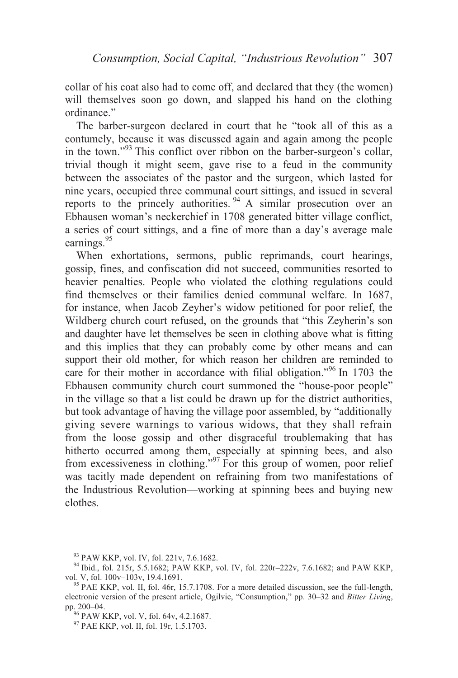collar of his coat also had to come off, and declared that they (the women) will themselves soon go down, and slapped his hand on the clothing ordinance."

The barber-surgeon declared in court that he "took all of this as a contumely, because it was discussed again and again among the people in the town."93 This conflict over ribbon on the barber-surgeon's collar, trivial though it might seem, gave rise to a feud in the community between the associates of the pastor and the surgeon, which lasted for nine years, occupied three communal court sittings, and issued in several reports to the princely authorities.<sup>94</sup> A similar prosecution over an Ebhausen woman's neckerchief in 1708 generated bitter village conflict, a series of court sittings, and a fine of more than a day's average male earnings.<sup>95</sup>

When exhortations, sermons, public reprimands, court hearings, gossip, fines, and confiscation did not succeed, communities resorted to heavier penalties. People who violated the clothing regulations could find themselves or their families denied communal welfare. In 1687, for instance, when Jacob Zeyher's widow petitioned for poor relief, the Wildberg church court refused, on the grounds that "this Zeyherin's son and daughter have let themselves be seen in clothing above what is fitting and this implies that they can probably come by other means and can support their old mother, for which reason her children are reminded to care for their mother in accordance with filial obligation.<sup> $96$ </sup> In 1703 the Ebhausen community church court summoned the "house-poor people" in the village so that a list could be drawn up for the district authorities, but took advantage of having the village poor assembled, by "additionally giving severe warnings to various widows, that they shall refrain from the loose gossip and other disgraceful troublemaking that has hitherto occurred among them, especially at spinning bees, and also from excessiveness in clothing."97 For this group of women, poor relief was tacitly made dependent on refraining from two manifestations of the Industrious Revolution—working at spinning bees and buying new clothes.

<sup>93</sup> PAW KKP, vol. IV, fol. 221v, 7.6.1682.

<sup>&</sup>lt;sup>94</sup> Ibid., fol. 215r, 5.5.1682; PAW KKP, vol. IV, fol. 220r–222v, 7.6.1682; and PAW KKP, vol. V, fol.  $100v-103v$ , 19.4.1691.<br><sup>95</sup> PAE KKP, vol. II, fol. 46r, 15.7.1708. For a more detailed discussion, see the full-length,

electronic version of the present article, Ogilvie, "Consumption," pp. 30–32 and *Bitter Living*, pp. 200–04.<br><sup>96</sup> PAW KKP, vol. V, fol. 64v, 4.2.1687.

<sup>97</sup> PAE KKP, vol. II, fol. 19r, 1.5.1703.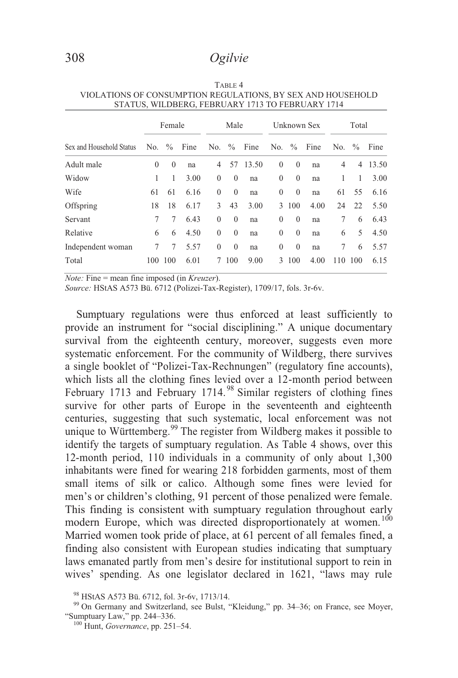### 308 *Ogilvie*

|                          | Female   |          |      | Male     |          |       | Unknown Sex   |               |      | Total |      |       |
|--------------------------|----------|----------|------|----------|----------|-------|---------------|---------------|------|-------|------|-------|
| Sex and Household Status | No.      | $\%$     | Fine | No. $\%$ |          | Fine  | No.           | $\frac{0}{0}$ | Fine | No.   | $\%$ | Fine  |
| Adult male               | $\theta$ | $\Omega$ | na   | 4        | 57       | 13.50 | $\mathbf{0}$  | $\theta$      | na   | 4     | 4    | 13.50 |
| Widow                    | 1        | 1        | 3.00 | $\Omega$ | $\theta$ | na    | $\Omega$      | $\theta$      | na   | 1     | 1    | 3.00  |
| Wife                     | 61       | 61       | 6.16 | $\theta$ | $\Omega$ | na    | $\theta$      | $\theta$      | na   | 61    | 55   | 6.16  |
| Offspring                | 18       | 18       | 6.17 | 3        | 43       | 3.00  | $\mathcal{E}$ | 100           | 4.00 | 24    | 22   | 5.50  |
| Servant                  | 7        | 7        | 6.43 | $\theta$ | $\theta$ | na    | $\theta$      | $\Omega$      | na   | 7     | 6    | 6.43  |
| Relative                 | 6        | 6        | 4.50 | $\theta$ | $\theta$ | na    | $\theta$      | $\theta$      | na   | 6     | 5    | 4.50  |
| Independent woman        | 7        | 7        | 5.57 | $\theta$ | $\Omega$ | na    | $\Omega$      | $\Omega$      | na   | 7     | 6    | 5.57  |
| Total                    |          | 100 100  | 6.01 | 7        | 100      | 9.00  |               | 3 100         | 4.00 | 110   | 100  | 6.15  |

 TABLE 4 VIOLATIONS OF CONSUMPTION REGULATIONS, BY SEX AND HOUSEHOLD STATUS, WILDBERG, FEBRUARY 1713 TO FEBRUARY 1714

*Note:* Fine = mean fine imposed (in *Kreuzer*).

*Source:* HStAS A573 Bü. 6712 (Polizei-Tax-Register), 1709/17, fols. 3r-6v.

Sumptuary regulations were thus enforced at least sufficiently to provide an instrument for "social disciplining." A unique documentary survival from the eighteenth century, moreover, suggests even more systematic enforcement. For the community of Wildberg, there survives a single booklet of "Polizei-Tax-Rechnungen" (regulatory fine accounts), which lists all the clothing fines levied over a 12-month period between February 1713 and February 1714.<sup>98</sup> Similar registers of clothing fines survive for other parts of Europe in the seventeenth and eighteenth centuries, suggesting that such systematic, local enforcement was not unique to Württemberg.<sup>99</sup> The register from Wildberg makes it possible to identify the targets of sumptuary regulation. As Table 4 shows, over this 12-month period, 110 individuals in a community of only about 1,300 inhabitants were fined for wearing 218 forbidden garments, most of them small items of silk or calico. Although some fines were levied for men's or children's clothing, 91 percent of those penalized were female. This finding is consistent with sumptuary regulation throughout early modern Europe, which was directed disproportionately at women.<sup>100</sup> Married women took pride of place, at 61 percent of all females fined, a finding also consistent with European studies indicating that sumptuary laws emanated partly from men's desire for institutional support to rein in wives' spending. As one legislator declared in 1621, "laws may rule

<sup>98</sup> HStAS A573 Bü. 6712, fol. 3r-6v, 1713/14.

<sup>&</sup>lt;sup>99</sup> On Germany and Switzerland, see Bulst, "Kleidung," pp. 34–36; on France, see Moyer, "Sumptuary Law," pp. 244–336.

<sup>&</sup>lt;sup>100</sup> Hunt, *Governance*, pp. 251–54.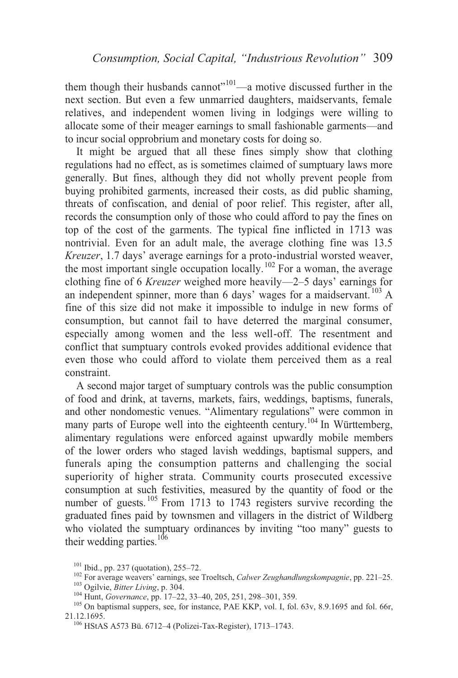them though their husbands cannot<sup> $n=101$ </sup>—a motive discussed further in the next section. But even a few unmarried daughters, maidservants, female relatives, and independent women living in lodgings were willing to allocate some of their meager earnings to small fashionable garments—and to incur social opprobrium and monetary costs for doing so.

 It might be argued that all these fines simply show that clothing regulations had no effect, as is sometimes claimed of sumptuary laws more generally. But fines, although they did not wholly prevent people from buying prohibited garments, increased their costs, as did public shaming, threats of confiscation, and denial of poor relief. This register, after all, records the consumption only of those who could afford to pay the fines on top of the cost of the garments. The typical fine inflicted in 1713 was nontrivial. Even for an adult male, the average clothing fine was 13.5 *Kreuzer*, 1.7 days' average earnings for a proto-industrial worsted weaver, the most important single occupation locally.<sup>102</sup> For a woman, the average clothing fine of 6 *Kreuzer* weighed more heavily—2–5 days' earnings for an independent spinner, more than 6 days' wages for a maidservant.<sup>103</sup> A fine of this size did not make it impossible to indulge in new forms of consumption, but cannot fail to have deterred the marginal consumer, especially among women and the less well-off. The resentment and conflict that sumptuary controls evoked provides additional evidence that even those who could afford to violate them perceived them as a real constraint.

A second major target of sumptuary controls was the public consumption of food and drink, at taverns, markets, fairs, weddings, baptisms, funerals, and other nondomestic venues. "Alimentary regulations" were common in many parts of Europe well into the eighteenth century.<sup>104</sup> In Württemberg, alimentary regulations were enforced against upwardly mobile members of the lower orders who staged lavish weddings, baptismal suppers, and funerals aping the consumption patterns and challenging the social superiority of higher strata. Community courts prosecuted excessive consumption at such festivities, measured by the quantity of food or the number of guests.<sup>105</sup> From 1713 to 1743 registers survive recording the graduated fines paid by townsmen and villagers in the district of Wildberg who violated the sumptuary ordinances by inviting "too many" guests to their wedding parties. $106$ 

<sup>&</sup>lt;sup>101</sup> Ibid., pp. 237 (quotation), 255–72.<br><sup>102</sup> For average weavers' earnings, see Troeltsch, *Calwer Zeughandlungskompagnie*, pp. 221–25.<br><sup>103</sup> Ogilvie, *Bitter Living*, p. 304.<br><sup>104</sup> Hunt, *Governance*, pp. 17–22, 33–40

<sup>21.12.1695. 106</sup> HStAS A573 Bü. 6712–4 (Polizei-Tax-Register), 1713–1743.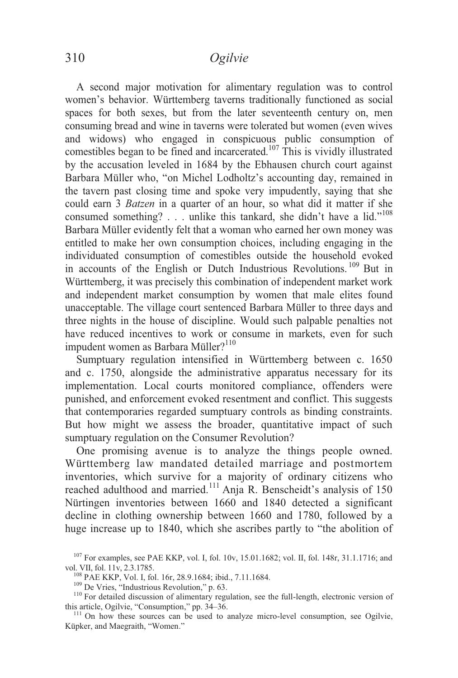# 310 *Ogilvie*

A second major motivation for alimentary regulation was to control women's behavior. Württemberg taverns traditionally functioned as social spaces for both sexes, but from the later seventeenth century on, men consuming bread and wine in taverns were tolerated but women (even wives and widows) who engaged in conspicuous public consumption of comestibles began to be fined and incarcerated.107 This is vividly illustrated by the accusation leveled in 1684 by the Ebhausen church court against Barbara Müller who, "on Michel Lodholtz's accounting day, remained in the tavern past closing time and spoke very impudently, saying that she could earn 3 *Batzen* in a quarter of an hour, so what did it matter if she consumed something? . . . unlike this tankard, she didn't have a lid."<sup>108</sup> Barbara Müller evidently felt that a woman who earned her own money was entitled to make her own consumption choices, including engaging in the individuated consumption of comestibles outside the household evoked in accounts of the English or Dutch Industrious Revolutions. 109 But in Württemberg, it was precisely this combination of independent market work and independent market consumption by women that male elites found unacceptable. The village court sentenced Barbara Müller to three days and three nights in the house of discipline. Would such palpable penalties not have reduced incentives to work or consume in markets, even for such impudent women as Barbara Müller? $110$ 

Sumptuary regulation intensified in Württemberg between c. 1650 and c. 1750, alongside the administrative apparatus necessary for its implementation. Local courts monitored compliance, offenders were punished, and enforcement evoked resentment and conflict. This suggests that contemporaries regarded sumptuary controls as binding constraints. But how might we assess the broader, quantitative impact of such sumptuary regulation on the Consumer Revolution?

 One promising avenue is to analyze the things people owned. Württemberg law mandated detailed marriage and postmortem inventories, which survive for a majority of ordinary citizens who reached adulthood and married.<sup>111</sup> Anja R. Benscheidt's analysis of 150 Nürtingen inventories between 1660 and 1840 detected a significant decline in clothing ownership between 1660 and 1780, followed by a huge increase up to 1840, which she ascribes partly to "the abolition of

<sup>107</sup> For examples, see PAE KKP, vol. I, fol. 10v, 15.01.1682; vol. II, fol. 148r, 31.1.1716; and vol. VII, fol. 11v, 2.3.1785.<br><sup>108</sup> PAE KKP, Vol. I, fol. 16r, 28.9.1684; ibid., 7.11.1684.<br><sup>109</sup> De Vries, "Industrious Revolution," p. 63.<br><sup>110</sup> For detailed discussion of alimentary regulation, see the full-length, ele

this article, Ogilvie, "Consumption," pp. 34–36.<br><sup>111</sup> On how these sources can be used to analyze micro-level consumption, see Ogilvie,

Küpker, and Maegraith, "Women."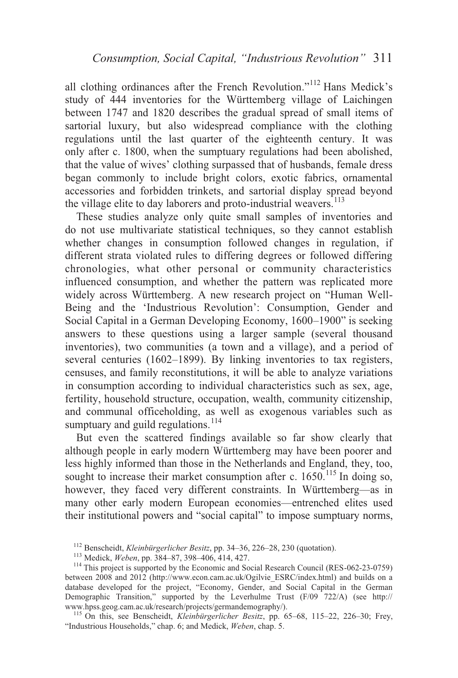all clothing ordinances after the French Revolution."112 Hans Medick's study of 444 inventories for the Württemberg village of Laichingen between 1747 and 1820 describes the gradual spread of small items of sartorial luxury, but also widespread compliance with the clothing regulations until the last quarter of the eighteenth century. It was only after c. 1800, when the sumptuary regulations had been abolished, that the value of wives' clothing surpassed that of husbands, female dress began commonly to include bright colors, exotic fabrics, ornamental accessories and forbidden trinkets, and sartorial display spread beyond the village elite to day laborers and proto-industrial weavers. $113$ 

These studies analyze only quite small samples of inventories and do not use multivariate statistical techniques, so they cannot establish whether changes in consumption followed changes in regulation, if different strata violated rules to differing degrees or followed differing chronologies, what other personal or community characteristics influenced consumption, and whether the pattern was replicated more widely across Württemberg. A new research project on "Human Well-Being and the 'Industrious Revolution': Consumption, Gender and Social Capital in a German Developing Economy, 1600–1900" is seeking answers to these questions using a larger sample (several thousand inventories), two communities (a town and a village), and a period of several centuries (1602–1899). By linking inventories to tax registers, censuses, and family reconstitutions, it will be able to analyze variations in consumption according to individual characteristics such as sex, age, fertility, household structure, occupation, wealth, community citizenship, and communal officeholding, as well as exogenous variables such as sumptuary and guild regulations.<sup>114</sup>

 But even the scattered findings available so far show clearly that although people in early modern Württemberg may have been poorer and less highly informed than those in the Netherlands and England, they, too, sought to increase their market consumption after c.  $1650$ .<sup>115</sup> In doing so, however, they faced very different constraints. In Württemberg—as in many other early modern European economies—entrenched elites used their institutional powers and "social capital" to impose sumptuary norms,

"Industrious Households," chap. 6; and Medick, *Weben*, chap. 5.

<sup>&</sup>lt;sup>112</sup> Benscheidt, *Kleinbürgerlicher Besitz*, pp. 34–36, 226–28, 230 (quotation).<br><sup>113</sup> Medick, *Weben*, pp. 384–87, 398–406, 414, 427.<br><sup>114</sup> This project is supported by the Economic and Social Research Council (RES-062between 2008 and 2012 (http://www.econ.cam.ac.uk/Ogilvie\_ESRC/index.html) and builds on a database developed for the project, "Economy, Gender, and Social Capital in the German Demographic Transition," supported by the Leverhulme Trust (F/09 722/A) (see http:// www.hpss.geog.cam.ac.uk/research/projects/germandemography/). 115 On this, see Benscheidt, *Kleinbürgerlicher Besitz*, pp. 65–68, 115–22, 226–30; Frey,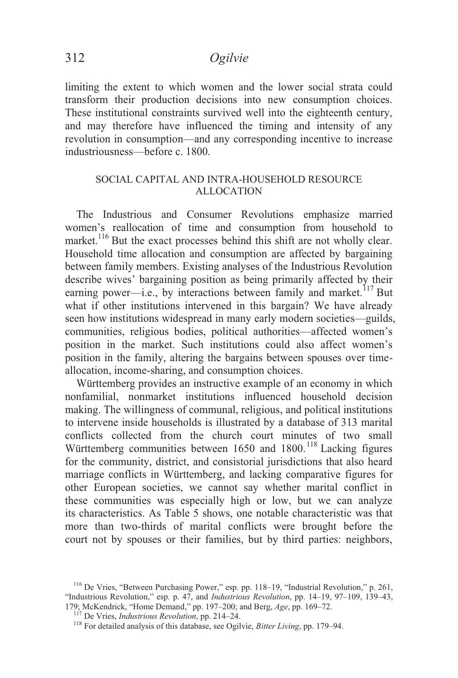limiting the extent to which women and the lower social strata could transform their production decisions into new consumption choices. These institutional constraints survived well into the eighteenth century, and may therefore have influenced the timing and intensity of any revolution in consumption—and any corresponding incentive to increase industriousness—before c. 1800.

#### SOCIAL CAPITAL AND INTRA-HOUSEHOLD RESOURCE ALLOCATION

The Industrious and Consumer Revolutions emphasize married women's reallocation of time and consumption from household to market.<sup>116</sup> But the exact processes behind this shift are not wholly clear. Household time allocation and consumption are affected by bargaining between family members. Existing analyses of the Industrious Revolution describe wives' bargaining position as being primarily affected by their earning power—i.e., by interactions between family and market.<sup>117</sup> But what if other institutions intervened in this bargain? We have already seen how institutions widespread in many early modern societies—guilds, communities, religious bodies, political authorities—affected women's position in the market. Such institutions could also affect women's position in the family, altering the bargains between spouses over timeallocation, income-sharing, and consumption choices.

Württemberg provides an instructive example of an economy in which nonfamilial, nonmarket institutions influenced household decision making. The willingness of communal, religious, and political institutions to intervene inside households is illustrated by a database of 313 marital conflicts collected from the church court minutes of two small Württemberg communities between 1650 and 1800.<sup>118</sup> Lacking figures for the community, district, and consistorial jurisdictions that also heard marriage conflicts in Württemberg, and lacking comparative figures for other European societies, we cannot say whether marital conflict in these communities was especially high or low, but we can analyze its characteristics. As Table 5 shows, one notable characteristic was that more than two-thirds of marital conflicts were brought before the court not by spouses or their families, but by third parties: neighbors,

<sup>116</sup> De Vries, "Between Purchasing Power," esp. pp. 118–19, "Industrial Revolution," p. 261, "Industrious Revolution," esp. p. 47, and *Industrious Revolution*, pp. 14–19, 97–109, 139–43, 179; McKendrick, "Home Demand," pp. 197–200; and Berg, Age, pp. 169–72.

<sup>&</sup>lt;sup>117</sup> De Vries, *Industrious Revolution*, pp. 214–24.<br><sup>118</sup> For detailed analysis of this database, see Ogilvie, *Bitter Living*, pp. 179–94.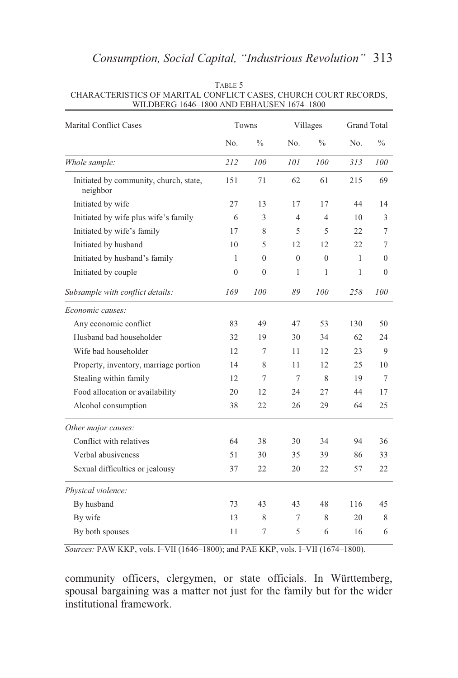| <b>Marital Conflict Cases</b>                      |          | Towns         |                | Villages      |     | <b>Grand Total</b> |  |  |
|----------------------------------------------------|----------|---------------|----------------|---------------|-----|--------------------|--|--|
|                                                    | No.      | $\frac{0}{0}$ | No.            | $\frac{0}{0}$ | No. | $\frac{0}{0}$      |  |  |
| Whole sample:                                      | 212      | 100           | 101            | 100           | 313 | 100                |  |  |
| Initiated by community, church, state,<br>neighbor | 151      | 71            | 62             | 61            | 215 | 69                 |  |  |
| Initiated by wife                                  | 27       | 13            | 17             | 17            | 44  | 14                 |  |  |
| Initiated by wife plus wife's family               | 6        | 3             | $\overline{4}$ | 4             | 10  | 3                  |  |  |
| Initiated by wife's family                         | 17       | 8             | 5              | 5             | 22  | 7                  |  |  |
| Initiated by husband                               | 10       | 5             | 12             | 12            | 22  | 7                  |  |  |
| Initiated by husband's family                      | 1        | $\theta$      | $\mathbf{0}$   | $\theta$      | 1   | $\Omega$           |  |  |
| Initiated by couple                                | $\theta$ | $\theta$      | 1              | $\mathbf{1}$  | 1   | $\theta$           |  |  |
| Subsample with conflict details:                   | 169      | 100           | 89             | 100           | 258 | 100                |  |  |
| Economic causes:                                   |          |               |                |               |     |                    |  |  |
| Any economic conflict                              | 83       | 49            | 47             | 53            | 130 | 50                 |  |  |
| Husband bad householder                            | 32       | 19            | 30             | 34            | 62  | 24                 |  |  |
| Wife bad householder                               | 12       | 7             | 11             | 12            | 23  | 9                  |  |  |
| Property, inventory, marriage portion              | 14       | 8             | 11             | 12            | 25  | 10                 |  |  |
| Stealing within family                             | 12       | 7             | 7              | 8             | 19  | 7                  |  |  |
| Food allocation or availability                    |          | 12            | 24             | 27            | 44  | 17                 |  |  |
| Alcohol consumption                                | 38       | 22            | 26             | 29            | 64  | 25                 |  |  |
| Other major causes:                                |          |               |                |               |     |                    |  |  |
| Conflict with relatives                            | 64       | 38            | 30             | 34            | 94  | 36                 |  |  |
| Verbal abusiveness                                 | 51       | 30            | 35             | 39            | 86  | 33                 |  |  |
| Sexual difficulties or jealousy                    | 37       | 22            | 20             | 22            | 57  | 22                 |  |  |
| Physical violence:                                 |          |               |                |               |     |                    |  |  |
| By husband                                         | 73       | 43            | 43             | 48            | 116 | 45                 |  |  |
| By wife                                            | 13       | 8             | 7              | 8             | 20  | 8                  |  |  |
| By both spouses                                    | 11       | 7             | 5              | 6             | 16  | 6                  |  |  |

TABLE 5 CHARACTERISTICS OF MARITAL CONFLICT CASES, CHURCH COURT RECORDS, WILDBERG 1646–1800 AND EBHAUSEN 1674–1800

*Sources:* PAW KKP, vols. I–VII (1646–1800); and PAE KKP, vols. I–VII (1674–1800).

community officers, clergymen, or state officials. In Württemberg, spousal bargaining was a matter not just for the family but for the wider institutional framework.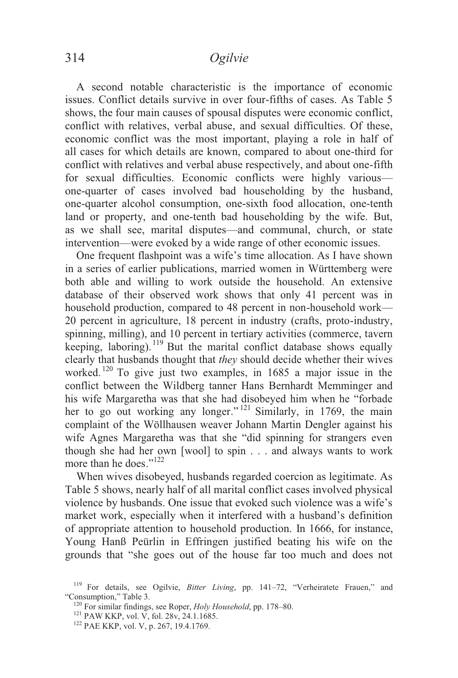### 314 *Ogilvie*

 A second notable characteristic is the importance of economic issues. Conflict details survive in over four-fifths of cases. As Table 5 shows, the four main causes of spousal disputes were economic conflict, conflict with relatives, verbal abuse, and sexual difficulties. Of these, economic conflict was the most important, playing a role in half of all cases for which details are known, compared to about one-third for conflict with relatives and verbal abuse respectively, and about one-fifth for sexual difficulties. Economic conflicts were highly various one-quarter of cases involved bad householding by the husband, one-quarter alcohol consumption, one-sixth food allocation, one-tenth land or property, and one-tenth bad householding by the wife. But, as we shall see, marital disputes—and communal, church, or state intervention—were evoked by a wide range of other economic issues.

One frequent flashpoint was a wife's time allocation. As I have shown in a series of earlier publications, married women in Württemberg were both able and willing to work outside the household. An extensive database of their observed work shows that only 41 percent was in household production, compared to 48 percent in non-household work— 20 percent in agriculture, 18 percent in industry (crafts, proto-industry, spinning, milling), and 10 percent in tertiary activities (commerce, tavern keeping, laboring). <sup>119</sup> But the marital conflict database shows equally clearly that husbands thought that *they* should decide whether their wives worked.<sup>120</sup> To give just two examples, in 1685 a major issue in the conflict between the Wildberg tanner Hans Bernhardt Memminger and his wife Margaretha was that she had disobeyed him when he "forbade her to go out working any longer."<sup>121</sup> Similarly, in 1769, the main complaint of the Wöllhausen weaver Johann Martin Dengler against his wife Agnes Margaretha was that she "did spinning for strangers even though she had her own [wool] to spin . . . and always wants to work more than he does."<sup>122</sup>

 When wives disobeyed, husbands regarded coercion as legitimate. As Table 5 shows, nearly half of all marital conflict cases involved physical violence by husbands. One issue that evoked such violence was a wife's market work, especially when it interfered with a husband's definition of appropriate attention to household production. In 1666, for instance, Young Hanß Peürlin in Effringen justified beating his wife on the grounds that "she goes out of the house far too much and does not

<sup>&</sup>lt;sup>119</sup> For details, see Ogilvie, *Bitter Living*, pp. 141–72, "Verheiratete Frauen," and "Consumption," Table 3.

<sup>&</sup>lt;sup>120</sup> For similar findings, see Roper, *Holy Household*, pp. 178–80. <sup>121</sup> PAW KKP, vol. V, fol. 28v, 24.1.1685. <sup>122</sup> PAE KKP, vol. V, p. 267, 19.4.1769.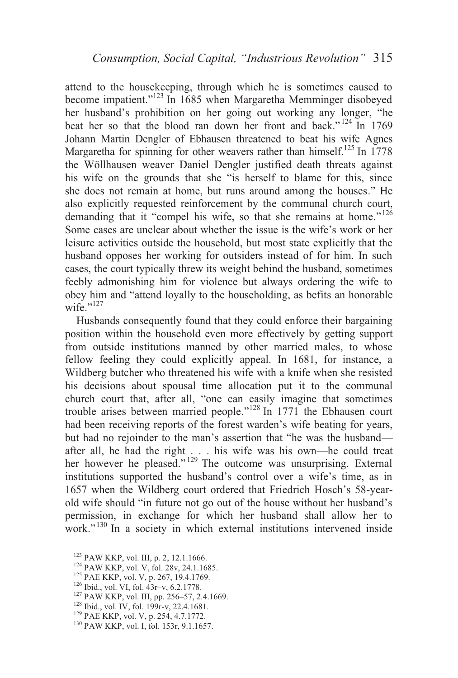attend to the housekeeping, through which he is sometimes caused to become impatient."123 In 1685 when Margaretha Memminger disobeyed her husband's prohibition on her going out working any longer, "he beat her so that the blood ran down her front and back."<sup>124</sup> In 1769 Johann Martin Dengler of Ebhausen threatened to beat his wife Agnes Margaretha for spinning for other weavers rather than himself.<sup>125</sup> In 1778 the Wöllhausen weaver Daniel Dengler justified death threats against his wife on the grounds that she "is herself to blame for this, since she does not remain at home, but runs around among the houses." He also explicitly requested reinforcement by the communal church court, demanding that it "compel his wife, so that she remains at home." $126$ Some cases are unclear about whether the issue is the wife's work or her leisure activities outside the household, but most state explicitly that the husband opposes her working for outsiders instead of for him. In such cases, the court typically threw its weight behind the husband, sometimes feebly admonishing him for violence but always ordering the wife to obey him and "attend loyally to the householding, as befits an honorable wife." $127$ 

 Husbands consequently found that they could enforce their bargaining position within the household even more effectively by getting support from outside institutions manned by other married males, to whose fellow feeling they could explicitly appeal. In 1681, for instance, a Wildberg butcher who threatened his wife with a knife when she resisted his decisions about spousal time allocation put it to the communal church court that, after all, "one can easily imagine that sometimes trouble arises between married people."128 In 1771 the Ebhausen court had been receiving reports of the forest warden's wife beating for years, but had no rejoinder to the man's assertion that "he was the husband after all, he had the right . . . his wife was his own—he could treat her however he pleased."<sup>129</sup> The outcome was unsurprising. External institutions supported the husband's control over a wife's time, as in 1657 when the Wildberg court ordered that Friedrich Hosch's 58-yearold wife should "in future not go out of the house without her husband's permission, in exchange for which her husband shall allow her to work."<sup>130</sup> In a society in which external institutions intervened inside

<sup>&</sup>lt;sup>123</sup> PAW KKP, vol. III, p. 2, 12.1.1666.<br><sup>124</sup> PAW KKP, vol. V, fol. 28v, 24.1.1685.<br><sup>125</sup> PAE KKP, vol. V, p. 267, 19.4.1769.<br><sup>126</sup> Ibid., vol. VI, fol. 43r–v, 6.2.1778.<br><sup>127</sup> PAW KKP, vol. III, pp. 256–57, 2.4.1669.<br><sup>1</sup>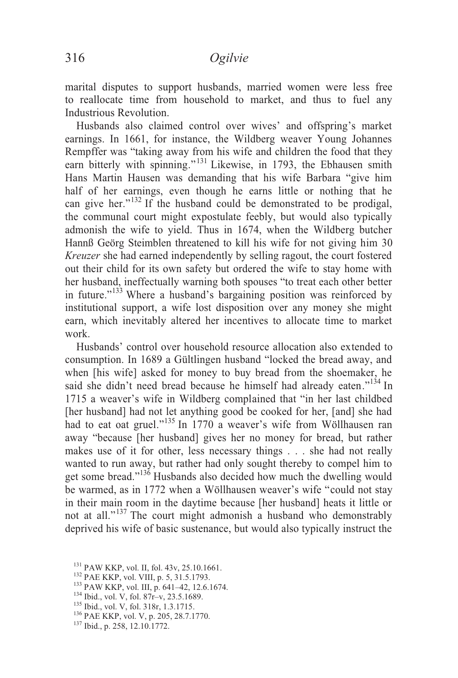marital disputes to support husbands, married women were less free to reallocate time from household to market, and thus to fuel any Industrious Revolution.

Husbands also claimed control over wives' and offspring's market earnings. In 1661, for instance, the Wildberg weaver Young Johannes Rempffer was "taking away from his wife and children the food that they earn bitterly with spinning."<sup>131</sup> Likewise, in 1793, the Ebhausen smith Hans Martin Hausen was demanding that his wife Barbara "give him half of her earnings, even though he earns little or nothing that he can give her."132 If the husband could be demonstrated to be prodigal, the communal court might expostulate feebly, but would also typically admonish the wife to yield. Thus in 1674, when the Wildberg butcher Hannß Geörg Steimblen threatened to kill his wife for not giving him 30 *Kreuzer* she had earned independently by selling ragout, the court fostered out their child for its own safety but ordered the wife to stay home with her husband, ineffectually warning both spouses "to treat each other better in future."<sup>133</sup> Where a husband's bargaining position was reinforced by institutional support, a wife lost disposition over any money she might earn, which inevitably altered her incentives to allocate time to market work.

Husbands' control over household resource allocation also extended to consumption. In 1689 a Gültlingen husband "locked the bread away, and when [his wife] asked for money to buy bread from the shoemaker, he said she didn't need bread because he himself had already eaten."<sup>134</sup> In 1715 a weaver's wife in Wildberg complained that "in her last childbed [her husband] had not let anything good be cooked for her, [and] she had had to eat oat gruel."<sup>135</sup> In 1770 a weaver's wife from Wöllhausen ran away "because [her husband] gives her no money for bread, but rather makes use of it for other, less necessary things . . . she had not really wanted to run away, but rather had only sought thereby to compel him to get some bread."136 Husbands also decided how much the dwelling would be warmed, as in 1772 when a Wöllhausen weaver's wife "could not stay in their main room in the daytime because [her husband] heats it little or not at all."<sup>137</sup> The court might admonish a husband who demonstrably deprived his wife of basic sustenance, but would also typically instruct the

<sup>&</sup>lt;sup>131</sup> PAW KKP, vol. II, fol. 43v, 25.10.1661.<br><sup>132</sup> PAE KKP, vol. VIII, p. 5, 31.5.1793.<br><sup>133</sup> PAW KKP, vol. III, p. 641–42, 12.6.1674.<br><sup>134</sup> Ibid., vol. V, fol. 87r–v, 23.5.1689.<br><sup>135</sup> Ibid., vol. V, fol. 318r, 1.3.1715.<br>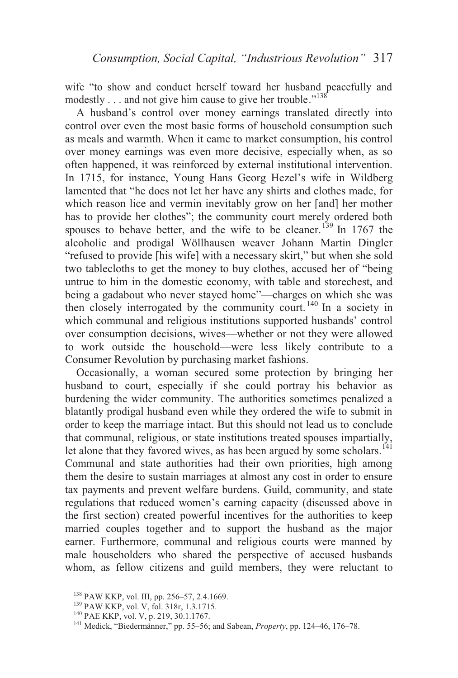wife "to show and conduct herself toward her husband peacefully and modestly  $\ldots$  and not give him cause to give her trouble."<sup>138</sup>

A husband's control over money earnings translated directly into control over even the most basic forms of household consumption such as meals and warmth. When it came to market consumption, his control over money earnings was even more decisive, especially when, as so often happened, it was reinforced by external institutional intervention. In 1715, for instance, Young Hans Georg Hezel's wife in Wildberg lamented that "he does not let her have any shirts and clothes made, for which reason lice and vermin inevitably grow on her [and] her mother has to provide her clothes"; the community court merely ordered both spouses to behave better, and the wife to be cleaner.<sup>139</sup> In 1767 the alcoholic and prodigal Wöllhausen weaver Johann Martin Dingler "refused to provide [his wife] with a necessary skirt," but when she sold two tablecloths to get the money to buy clothes, accused her of "being untrue to him in the domestic economy, with table and storechest, and being a gadabout who never stayed home"—charges on which she was then closely interrogated by the community court.<sup>140</sup> In a society in which communal and religious institutions supported husbands' control over consumption decisions, wives—whether or not they were allowed to work outside the household—were less likely contribute to a Consumer Revolution by purchasing market fashions.

 Occasionally, a woman secured some protection by bringing her husband to court, especially if she could portray his behavior as burdening the wider community. The authorities sometimes penalized a blatantly prodigal husband even while they ordered the wife to submit in order to keep the marriage intact. But this should not lead us to conclude that communal, religious, or state institutions treated spouses impartially, let alone that they favored wives, as has been argued by some scholars.<sup>141</sup> Communal and state authorities had their own priorities, high among them the desire to sustain marriages at almost any cost in order to ensure tax payments and prevent welfare burdens. Guild, community, and state regulations that reduced women's earning capacity (discussed above in the first section) created powerful incentives for the authorities to keep married couples together and to support the husband as the major earner. Furthermore, communal and religious courts were manned by male householders who shared the perspective of accused husbands whom, as fellow citizens and guild members, they were reluctant to

<sup>1&</sup>lt;sup>38</sup> PAW KKP, vol. III, pp. 256–57, 2.4.1669.<br><sup>139</sup> PAW KKP, vol. V, fol. 318r, 1.3.1715.<br><sup>140</sup> PAE KKP, vol. V, p. 219, 30.1.1767.<br><sup>141</sup> Medick, "Biedermänner," pp. 55–56; and Sabean, *Property*, pp. 124–46, 176–78.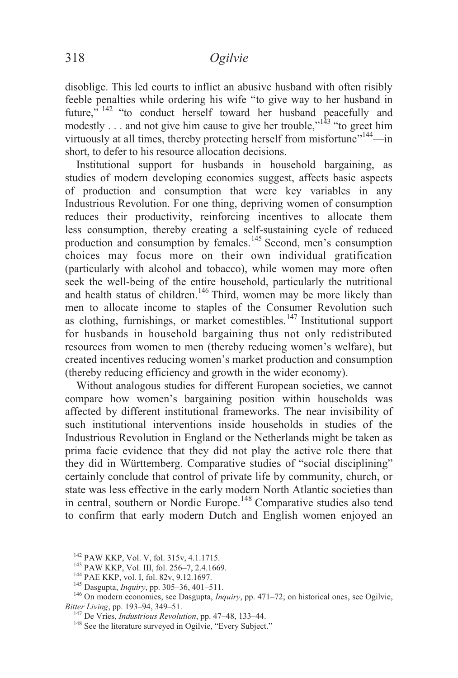disoblige. This led courts to inflict an abusive husband with often risibly feeble penalties while ordering his wife "to give way to her husband in future," <sup>142</sup> "to conduct herself toward her husband peacefully and modestly  $\ldots$  and not give him cause to give her trouble,"<sup>143</sup> "to greet him virtuously at all times, thereby protecting herself from misfortune"<sup>144</sup>-in short, to defer to his resource allocation decisions.

Institutional support for husbands in household bargaining, as studies of modern developing economies suggest, affects basic aspects of production and consumption that were key variables in any Industrious Revolution. For one thing, depriving women of consumption reduces their productivity, reinforcing incentives to allocate them less consumption, thereby creating a self-sustaining cycle of reduced production and consumption by females.<sup>145</sup> Second, men's consumption choices may focus more on their own individual gratification (particularly with alcohol and tobacco), while women may more often seek the well-being of the entire household, particularly the nutritional and health status of children.<sup>146</sup> Third, women may be more likely than men to allocate income to staples of the Consumer Revolution such as clothing, furnishings, or market comestibles.<sup>147</sup> Institutional support for husbands in household bargaining thus not only redistributed resources from women to men (thereby reducing women's welfare), but created incentives reducing women's market production and consumption (thereby reducing efficiency and growth in the wider economy).

 Without analogous studies for different European societies, we cannot compare how women's bargaining position within households was affected by different institutional frameworks. The near invisibility of such institutional interventions inside households in studies of the Industrious Revolution in England or the Netherlands might be taken as prima facie evidence that they did not play the active role there that they did in Württemberg. Comparative studies of "social disciplining" certainly conclude that control of private life by community, church, or state was less effective in the early modern North Atlantic societies than in central, southern or Nordic Europe.<sup>148</sup> Comparative studies also tend to confirm that early modern Dutch and English women enjoyed an

<sup>&</sup>lt;sup>142</sup> PAW KKP, Vol. V, fol. 315v, 4.1.1715.<br><sup>143</sup> PAW KKP, Vol. III, fol. 256–7, 2.4.1669.<br><sup>144</sup> PAE KKP, vol. I, fol. 82v, 9.12.1697.<br><sup>145</sup> Dasgupta, *Inquiry*, pp. 305–36, 401–511.<br><sup>146</sup> On modern economies, see Dasgupt *Bitter Living*, pp. 193–94, 349–51.<br><sup>147</sup> De Vries, *Industrious Revolution*, pp. 47–48, 133–44.<br><sup>148</sup> See the literature surveyed in Ogilvie, "Every Subject."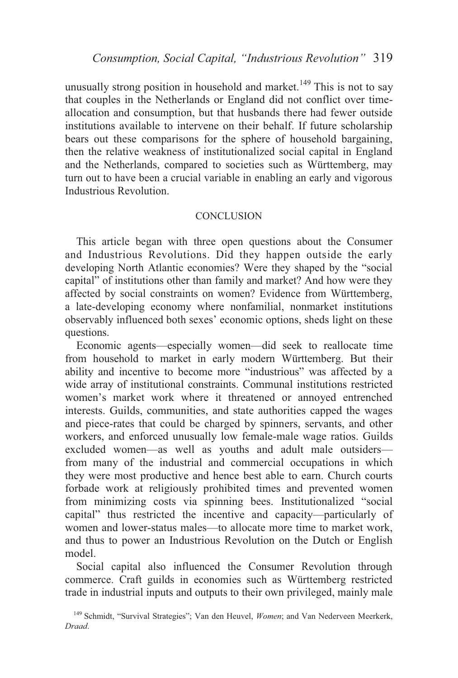unusually strong position in household and market.<sup>149</sup> This is not to say that couples in the Netherlands or England did not conflict over timeallocation and consumption, but that husbands there had fewer outside institutions available to intervene on their behalf. If future scholarship bears out these comparisons for the sphere of household bargaining, then the relative weakness of institutionalized social capital in England and the Netherlands, compared to societies such as Württemberg, may turn out to have been a crucial variable in enabling an early and vigorous Industrious Revolution.

#### **CONCLUSION**

 This article began with three open questions about the Consumer and Industrious Revolutions. Did they happen outside the early developing North Atlantic economies? Were they shaped by the "social capital" of institutions other than family and market? And how were they affected by social constraints on women? Evidence from Württemberg, a late-developing economy where nonfamilial, nonmarket institutions observably influenced both sexes' economic options, sheds light on these questions.

 Economic agents—especially women—did seek to reallocate time from household to market in early modern Württemberg. But their ability and incentive to become more "industrious" was affected by a wide array of institutional constraints. Communal institutions restricted women's market work where it threatened or annoyed entrenched interests. Guilds, communities, and state authorities capped the wages and piece-rates that could be charged by spinners, servants, and other workers, and enforced unusually low female-male wage ratios. Guilds excluded women—as well as youths and adult male outsiders from many of the industrial and commercial occupations in which they were most productive and hence best able to earn. Church courts forbade work at religiously prohibited times and prevented women from minimizing costs via spinning bees. Institutionalized "social capital" thus restricted the incentive and capacity—particularly of women and lower-status males—to allocate more time to market work, and thus to power an Industrious Revolution on the Dutch or English model.

Social capital also influenced the Consumer Revolution through commerce. Craft guilds in economies such as Württemberg restricted trade in industrial inputs and outputs to their own privileged, mainly male

<sup>149</sup> Schmidt, "Survival Strategies"; Van den Heuvel, *Women*; and Van Nederveen Meerkerk, *Draad*.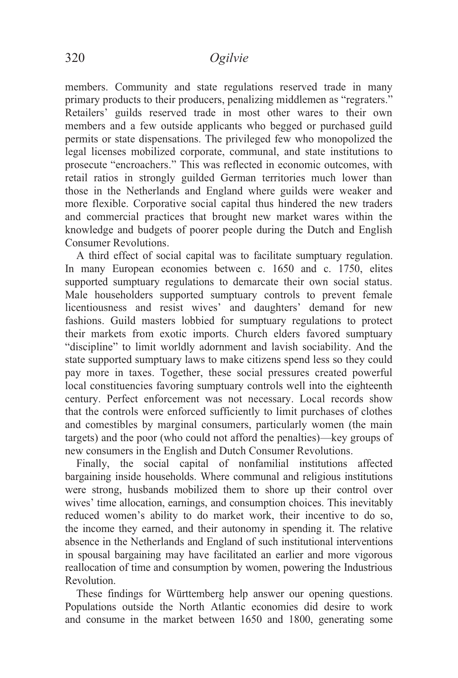members. Community and state regulations reserved trade in many primary products to their producers, penalizing middlemen as "regraters." Retailers' guilds reserved trade in most other wares to their own members and a few outside applicants who begged or purchased guild permits or state dispensations. The privileged few who monopolized the legal licenses mobilized corporate, communal, and state institutions to prosecute "encroachers." This was reflected in economic outcomes, with retail ratios in strongly guilded German territories much lower than those in the Netherlands and England where guilds were weaker and more flexible. Corporative social capital thus hindered the new traders and commercial practices that brought new market wares within the knowledge and budgets of poorer people during the Dutch and English Consumer Revolutions.

 A third effect of social capital was to facilitate sumptuary regulation. In many European economies between c. 1650 and c. 1750, elites supported sumptuary regulations to demarcate their own social status. Male householders supported sumptuary controls to prevent female licentiousness and resist wives' and daughters' demand for new fashions. Guild masters lobbied for sumptuary regulations to protect their markets from exotic imports. Church elders favored sumptuary "discipline" to limit worldly adornment and lavish sociability. And the state supported sumptuary laws to make citizens spend less so they could pay more in taxes. Together, these social pressures created powerful local constituencies favoring sumptuary controls well into the eighteenth century. Perfect enforcement was not necessary. Local records show that the controls were enforced sufficiently to limit purchases of clothes and comestibles by marginal consumers, particularly women (the main targets) and the poor (who could not afford the penalties)—key groups of new consumers in the English and Dutch Consumer Revolutions.

Finally, the social capital of nonfamilial institutions affected bargaining inside households. Where communal and religious institutions were strong, husbands mobilized them to shore up their control over wives' time allocation, earnings, and consumption choices. This inevitably reduced women's ability to do market work, their incentive to do so, the income they earned, and their autonomy in spending it. The relative absence in the Netherlands and England of such institutional interventions in spousal bargaining may have facilitated an earlier and more vigorous reallocation of time and consumption by women, powering the Industrious Revolution.

These findings for Württemberg help answer our opening questions. Populations outside the North Atlantic economies did desire to work and consume in the market between 1650 and 1800, generating some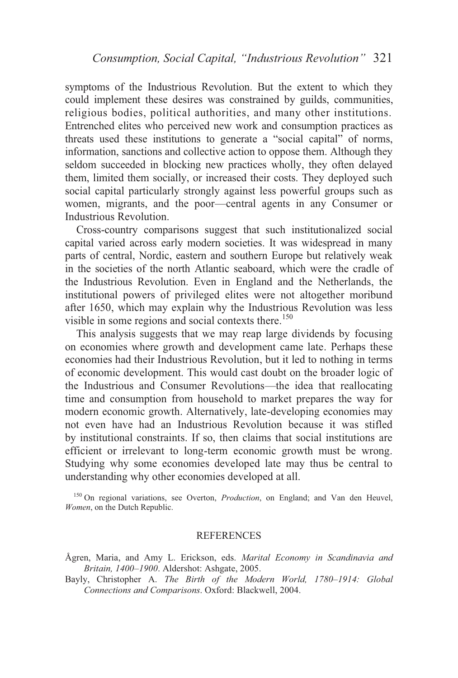symptoms of the Industrious Revolution. But the extent to which they could implement these desires was constrained by guilds, communities, religious bodies, political authorities, and many other institutions. Entrenched elites who perceived new work and consumption practices as threats used these institutions to generate a "social capital" of norms, information, sanctions and collective action to oppose them. Although they seldom succeeded in blocking new practices wholly, they often delayed them, limited them socially, or increased their costs. They deployed such social capital particularly strongly against less powerful groups such as women, migrants, and the poor—central agents in any Consumer or Industrious Revolution.

 Cross-country comparisons suggest that such institutionalized social capital varied across early modern societies. It was widespread in many parts of central, Nordic, eastern and southern Europe but relatively weak in the societies of the north Atlantic seaboard, which were the cradle of the Industrious Revolution. Even in England and the Netherlands, the institutional powers of privileged elites were not altogether moribund after 1650, which may explain why the Industrious Revolution was less visible in some regions and social contexts there.<sup>150</sup>

 This analysis suggests that we may reap large dividends by focusing on economies where growth and development came late. Perhaps these economies had their Industrious Revolution, but it led to nothing in terms of economic development. This would cast doubt on the broader logic of the Industrious and Consumer Revolutions—the idea that reallocating time and consumption from household to market prepares the way for modern economic growth. Alternatively, late-developing economies may not even have had an Industrious Revolution because it was stifled by institutional constraints. If so, then claims that social institutions are efficient or irrelevant to long-term economic growth must be wrong. Studying why some economies developed late may thus be central to understanding why other economies developed at all.

150 On regional variations, see Overton, *Production*, on England; and Van den Heuvel, *Women*, on the Dutch Republic.

#### **REFERENCES**

- Ågren, Maria, and Amy L. Erickson, eds. *Marital Economy in Scandinavia and Britain, 1400–1900*. Aldershot: Ashgate, 2005.
- Bayly, Christopher A. *The Birth of the Modern World, 1780–1914: Global Connections and Comparisons*. Oxford: Blackwell, 2004.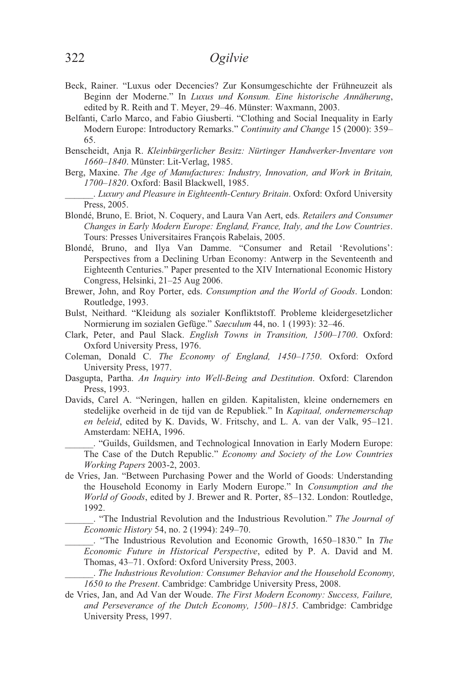- Beck, Rainer. "Luxus oder Decencies? Zur Konsumgeschichte der Frühneuzeit als Beginn der Moderne." In *Luxus und Konsum. Eine historische Annäherung*, edited by R. Reith and T. Meyer, 29–46. Münster: Waxmann, 2003.
- Belfanti, Carlo Marco, and Fabio Giusberti. "Clothing and Social Inequality in Early Modern Europe: Introductory Remarks." *Continuity and Change* 15 (2000): 359– 65.
- Benscheidt, Anja R. *Kleinbürgerlicher Besitz: Nürtinger Handwerker-Inventare von 1660–1840*. Münster: Lit-Verlag, 1985.
- Berg, Maxine. *The Age of Manufactures: Industry, Innovation, and Work in Britain, 1700–1820*. Oxford: Basil Blackwell, 1985.
	- \_\_\_\_\_\_. *Luxury and Pleasure in Eighteenth-Century Britain*. Oxford: Oxford University Press, 2005.
- Blondé, Bruno, E. Briot, N. Coquery, and Laura Van Aert, eds. *Retailers and Consumer Changes in Early Modern Europe: England, France, Italy, and the Low Countries*. Tours: Presses Universitaires François Rabelais, 2005.
- Blondé, Bruno, and Ilya Van Damme. "Consumer and Retail 'Revolutions': Perspectives from a Declining Urban Economy: Antwerp in the Seventeenth and Eighteenth Centuries." Paper presented to the XIV International Economic History Congress, Helsinki, 21–25 Aug 2006.
- Brewer, John, and Roy Porter, eds. *Consumption and the World of Goods*. London: Routledge, 1993.
- Bulst, Neithard. "Kleidung als sozialer Konfliktstoff. Probleme kleidergesetzlicher Normierung im sozialen Gefüge." *Saeculum* 44, no. 1 (1993): 32–46.
- Clark, Peter, and Paul Slack. *English Towns in Transition, 1500–1700*. Oxford: Oxford University Press, 1976.
- Coleman, Donald C. *The Economy of England, 1450–1750*. Oxford: Oxford University Press, 1977.
- Dasgupta, Partha. *An Inquiry into Well-Being and Destitution*. Oxford: Clarendon Press, 1993.
- Davids, Carel A. "Neringen, hallen en gilden. Kapitalisten, kleine ondernemers en stedelijke overheid in de tijd van de Republiek." In *Kapitaal, ondernemerschap en beleid*, edited by K. Davids, W. Fritschy, and L. A. van der Valk, 95–121. Amsterdam: NEHA, 1996.

\_\_\_\_\_\_. "Guilds, Guildsmen, and Technological Innovation in Early Modern Europe: The Case of the Dutch Republic." *Economy and Society of the Low Countries Working Papers* 2003-2, 2003.

de Vries, Jan. "Between Purchasing Power and the World of Goods: Understanding the Household Economy in Early Modern Europe." In *Consumption and the World of Goods*, edited by J. Brewer and R. Porter, 85–132. London: Routledge, 1992.

\_\_\_\_\_\_. "The Industrial Revolution and the Industrious Revolution." *The Journal of Economic History* 54, no. 2 (1994): 249–70.

\_\_\_\_\_\_. "The Industrious Revolution and Economic Growth, 1650–1830." In *The Economic Future in Historical Perspective*, edited by P. A. David and M. Thomas, 43–71. Oxford: Oxford University Press, 2003.

\_\_\_\_\_\_. *The Industrious Revolution: Consumer Behavior and the Household Economy, 1650 to the Present*. Cambridge: Cambridge University Press, 2008.

de Vries, Jan, and Ad Van der Woude. *The First Modern Economy: Success, Failure, and Perseverance of the Dutch Economy, 1500–1815*. Cambridge: Cambridge University Press, 1997.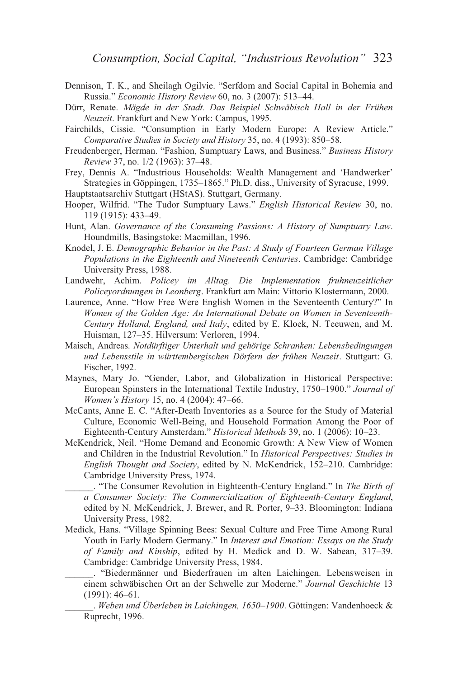- Dennison, T. K., and Sheilagh Ogilvie. "Serfdom and Social Capital in Bohemia and Russia." *Economic History Review* 60, no. 3 (2007): 513–44.
- Dürr, Renate. *Mägde in der Stadt. Das Beispiel Schwäbisch Hall in der Frühen Neuzeit*. Frankfurt and New York: Campus, 1995.
- Fairchilds, Cissie. "Consumption in Early Modern Europe: A Review Article." *Comparative Studies in Society and History* 35, no. 4 (1993): 850–58.
- Freudenberger, Herman. "Fashion, Sumptuary Laws, and Business." *Business History Review* 37, no. 1/2 (1963): 37–48.
- Frey, Dennis A. "Industrious Households: Wealth Management and 'Handwerker' Strategies in Göppingen, 1735–1865." Ph.D. diss., University of Syracuse, 1999. Hauptstaatsarchiv Stuttgart (HStAS). Stuttgart, Germany.
- Hooper, Wilfrid. "The Tudor Sumptuary Laws." *English Historical Review* 30, no. 119 (1915): 433–49.
- Hunt, Alan. *Governance of the Consuming Passions: A History of Sumptuary Law*. Houndmills, Basingstoke: Macmillan, 1996.
- Knodel, J. E. *Demographic Behavior in the Past: A Study of Fourteen German Village Populations in the Eighteenth and Nineteenth Centuries*. Cambridge: Cambridge University Press, 1988.
- Landwehr, Achim. *Policey im Alltag. Die Implementation fruhneuzeitlicher Policeyordnungen in Leonberg*. Frankfurt am Main: Vittorio Klostermann, 2000.
- Laurence, Anne. "How Free Were English Women in the Seventeenth Century?" In *Women of the Golden Age: An International Debate on Women in Seventeenth-Century Holland, England, and Italy*, edited by E. Kloek, N. Teeuwen, and M. Huisman, 127–35. Hilversum: Verloren, 1994.
- Maisch, Andreas. *Notdürftiger Unterhalt und gehörige Schranken: Lebensbedingungen und Lebensstile in württembergischen Dörfern der frühen Neuzeit*. Stuttgart: G. Fischer, 1992.
- Maynes, Mary Jo. "Gender, Labor, and Globalization in Historical Perspective: European Spinsters in the International Textile Industry, 1750–1900." *Journal of Women's History* 15, no. 4 (2004): 47–66.
- McCants, Anne E. C. "After-Death Inventories as a Source for the Study of Material Culture, Economic Well-Being, and Household Formation Among the Poor of Eighteenth-Century Amsterdam." *Historical Methods* 39, no. 1 (2006): 10–23.
- McKendrick, Neil. "Home Demand and Economic Growth: A New View of Women and Children in the Industrial Revolution." In *Historical Perspectives: Studies in English Thought and Society*, edited by N. McKendrick, 152–210. Cambridge: Cambridge University Press, 1974.

\_\_\_\_\_\_. "The Consumer Revolution in Eighteenth-Century England." In *The Birth of a Consumer Society: The Commercialization of Eighteenth-Century England*, edited by N. McKendrick, J. Brewer, and R. Porter, 9–33. Bloomington: Indiana University Press, 1982.

Medick, Hans. "Village Spinning Bees: Sexual Culture and Free Time Among Rural Youth in Early Modern Germany." In *Interest and Emotion: Essays on the Study of Family and Kinship*, edited by H. Medick and D. W. Sabean, 317–39. Cambridge: Cambridge University Press, 1984.

\_\_\_\_\_\_. "Biedermänner und Biederfrauen im alten Laichingen. Lebensweisen in einem schwäbischen Ort an der Schwelle zur Moderne." *Journal Geschichte* 13 (1991): 46–61.

\_\_\_\_\_\_. *Weben und Überleben in Laichingen, 1650*–*1900*. Göttingen: Vandenhoeck & Ruprecht, 1996.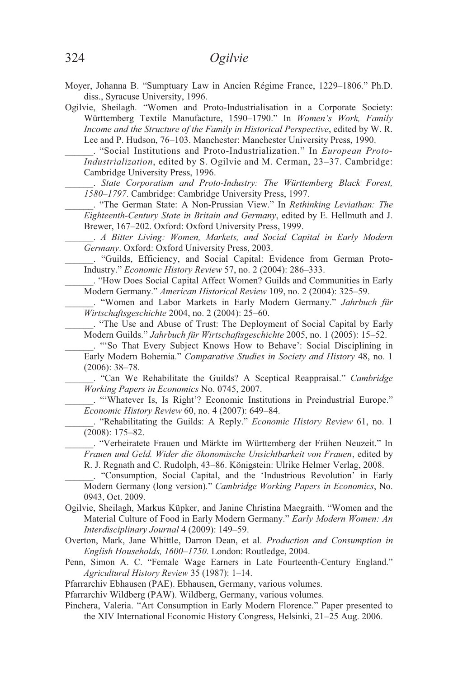- Moyer, Johanna B. "Sumptuary Law in Ancien Régime France, 1229–1806." Ph.D. diss., Syracuse University, 1996.
- Ogilvie, Sheilagh. "Women and Proto-Industrialisation in a Corporate Society: Württemberg Textile Manufacture, 1590–1790." In *Women's Work, Family Income and the Structure of the Family in Historical Perspective*, edited by W. R. Lee and P. Hudson, 76–103. Manchester: Manchester University Press, 1990.

\_\_\_\_\_\_. "Social Institutions and Proto-Industrialization." In *European Proto-Industrialization*, edited by S. Ogilvie and M. Cerman, 23–37. Cambridge: Cambridge University Press, 1996.

\_\_\_\_\_\_. *State Corporatism and Proto-Industry: The Württemberg Black Forest, 1580*–*1797*. Cambridge: Cambridge University Press, 1997.

\_\_\_\_\_\_. "The German State: A Non-Prussian View." In *Rethinking Leviathan: The Eighteenth-Century State in Britain and Germany*, edited by E. Hellmuth and J. Brewer, 167–202. Oxford: Oxford University Press, 1999.

\_\_\_\_\_\_. *A Bitter Living: Women, Markets, and Social Capital in Early Modern Germany*. Oxford: Oxford University Press, 2003.

\_\_\_\_\_\_. "Guilds, Efficiency, and Social Capital: Evidence from German Proto-Industry." *Economic History Review* 57, no. 2 (2004): 286–333.

\_\_\_\_\_\_. "How Does Social Capital Affect Women? Guilds and Communities in Early Modern Germany." *American Historical Review* 109, no. 2 (2004): 325–59.

\_\_\_\_\_\_. "Women and Labor Markets in Early Modern Germany." *Jahrbuch für Wirtschaftsgeschichte* 2004, no. 2 (2004): 25–60.

\_\_\_\_\_\_. "The Use and Abuse of Trust: The Deployment of Social Capital by Early Modern Guilds." *Jahrbuch für Wirtschaftsgeschichte* 2005, no. 1 (2005): 15–52.

\_\_\_\_\_\_. "'So That Every Subject Knows How to Behave': Social Disciplining in Early Modern Bohemia." *Comparative Studies in Society and History* 48, no. 1 (2006): 38–78.

\_\_\_\_\_\_. "Can We Rehabilitate the Guilds? A Sceptical Reappraisal." *Cambridge Working Papers in Economics* No. 0745, 2007.

\_\_\_\_\_\_. "'Whatever Is, Is Right'? Economic Institutions in Preindustrial Europe." *Economic History Review* 60, no. 4 (2007): 649–84.

\_\_\_\_\_\_. "Rehabilitating the Guilds: A Reply." *Economic History Review* 61, no. 1 (2008): 175–82.

\_\_\_\_\_\_. "Verheiratete Frauen und Märkte im Württemberg der Frühen Neuzeit." In *Frauen und Geld. Wider die ökonomische Unsichtbarkeit von Frauen*, edited by R. J. Regnath and C. Rudolph, 43–86. Königstein: Ulrike Helmer Verlag, 2008.

\_\_\_\_\_\_. "Consumption, Social Capital, and the 'Industrious Revolution' in Early Modern Germany (long version)." *Cambridge Working Papers in Economics*, No. 0943, Oct. 2009.

Ogilvie, Sheilagh, Markus Küpker, and Janine Christina Maegraith. "Women and the Material Culture of Food in Early Modern Germany." *Early Modern Women: An Interdisciplinary Journal* 4 (2009): 149–59.

Overton, Mark, Jane Whittle, Darron Dean, et al. *Production and Consumption in English Households, 1600*–*1750.* London: Routledge, 2004.

Penn, Simon A. C. "Female Wage Earners in Late Fourteenth-Century England." *Agricultural History Review* 35 (1987): 1–14.

Pfarrarchiv Ebhausen (PAE). Ebhausen, Germany, various volumes.

Pfarrarchiv Wildberg (PAW). Wildberg, Germany, various volumes.

Pinchera, Valeria. "Art Consumption in Early Modern Florence." Paper presented to the XIV International Economic History Congress, Helsinki, 21–25 Aug. 2006.